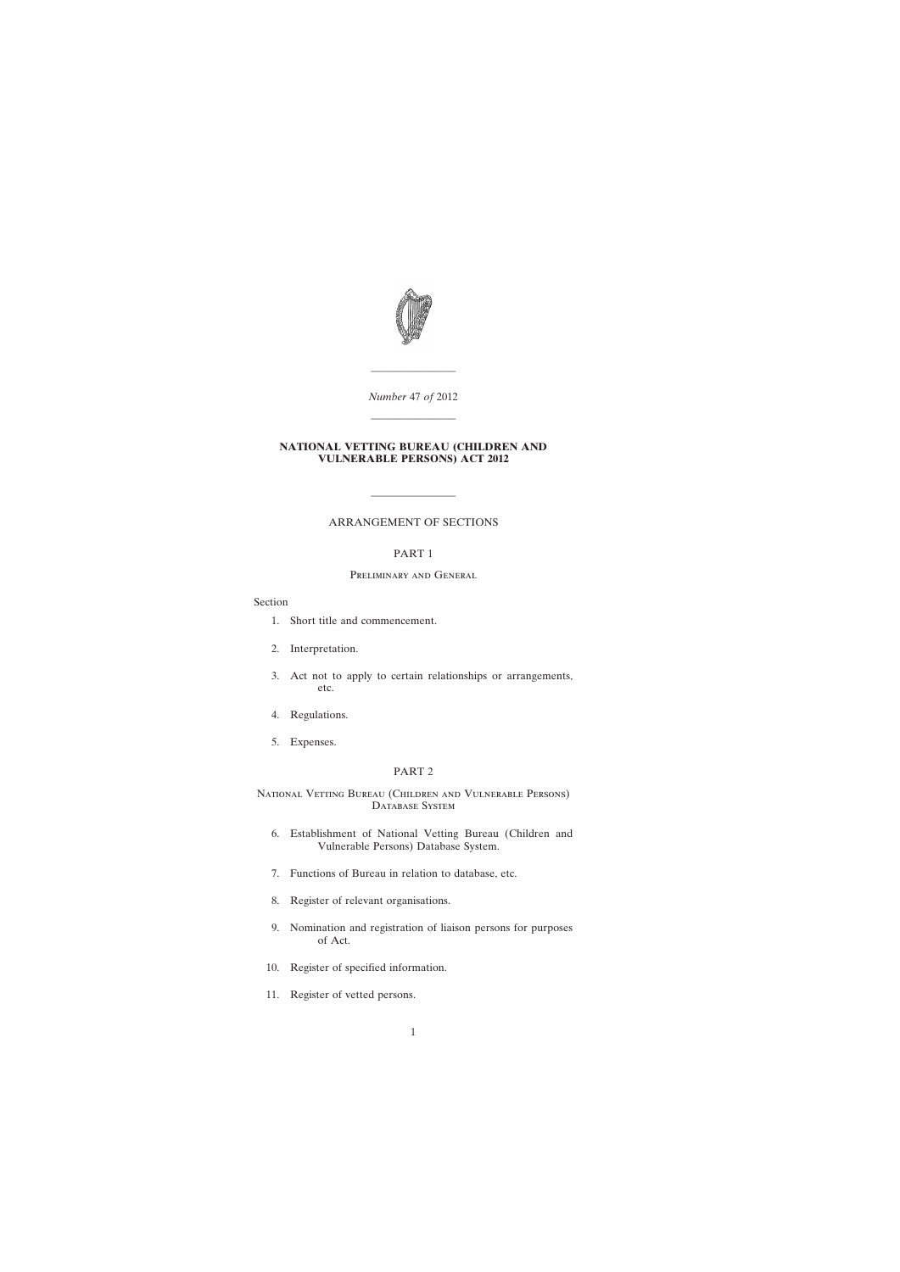

*Number* 47 *of* 2012

————————

### **NATIONAL VETTING BUREAU (CHILDREN AND VULNERABLE PERSONS) ACT 2012**

————————

# ARRANGEMENT OF SECTIONS

————————

## PART 1

## Preliminary and General

## Section

- [1. Short title and commencement.](#page-4-0)
- [2. Interpretation.](#page-5-0)
- [3. Act not to apply to certain relationships or arrangements,](#page-8-0) etc.
- [4. Regulations.](#page-9-0)
- [5. Expenses.](#page-9-0)

### PART 2

National Vetting Bureau (Children and Vulnerable Persons) DATABASE SYSTEM

- [6. Establishment of National Vetting Bureau \(Children and](#page-9-0) Vulnerable Persons) Database System.
- [7. Functions of Bureau in relation to database, etc.](#page-9-0)
- [8. Register of relevant organisations.](#page-10-0)
- [9. Nomination and registration of liaison persons for purposes](#page-11-0) of Act.
- [10. Register of specified information.](#page-13-0)
- [11. Register of vetted persons.](#page-13-0)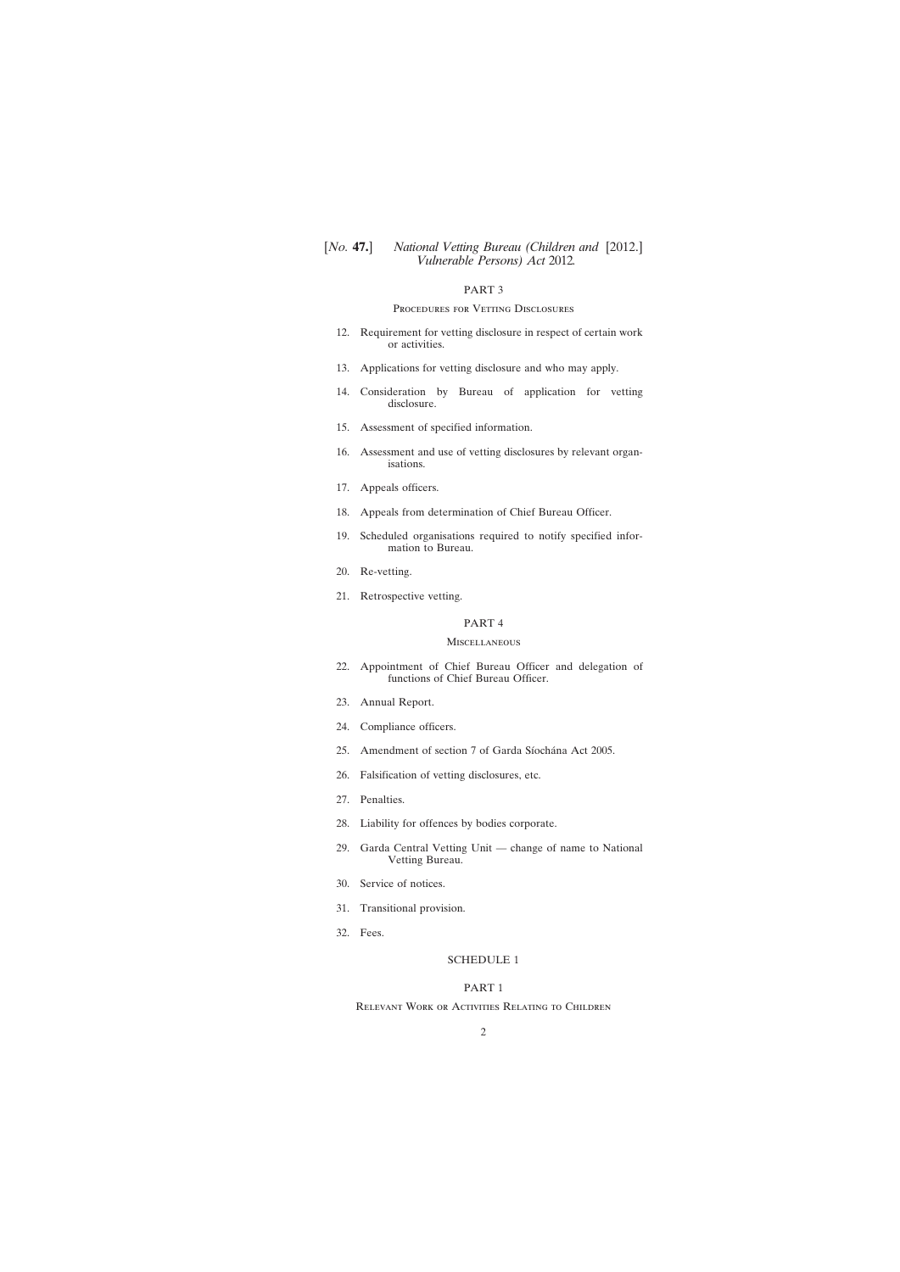## PART 3

### PROCEDURES FOR VETTING DISCLOSURES

- [12. Requirement for vetting disclosure in respect of certain work](#page-14-0) or activities.
- [13. Applications for vetting disclosure and who may apply.](#page-15-0)
- [14. Consideration by Bureau of application for vetting](#page-16-0) disclosure.
- [15. Assessment of specified information.](#page-17-0)
- [16. Assessment and use of vetting disclosures by relevant organ](#page-19-0)isations.
- [17. Appeals officers.](#page-20-0)
- [18. Appeals from determination of Chief Bureau Officer.](#page-20-0)
- [19. Scheduled organisations required to notify specified infor](#page-21-0)mation to Bureau.
- [20. Re-vetting.](#page-22-0)
- [21. Retrospective vetting.](#page-23-0)

# PART 4

### Miscellaneous

- [22. Appointment of Chief Bureau Officer and delegation of](#page-24-0) functions of Chief Bureau Officer.
- [23. Annual Report.](#page-24-0)
- [24. Compliance officers.](#page-25-0)
- [25. Amendment of section 7 of Garda Síochána Act 2005.](#page-26-0)
- [26. Falsification of vetting disclosures, etc.](#page-26-0)
- [27. Penalties.](#page-26-0)
- [28. Liability for offences by bodies corporate.](#page-26-0)
- [29. Garda Central Vetting Unit](#page-27-0) change of name to National Vetting Bureau.
- [30. Service of notices.](#page-27-0)
- [31. Transitional provision.](#page-27-0)
- [32. Fees.](#page-27-0)

### [SCHEDULE 1](#page-28-0)

### PART 1

Relevant Work or Activities Relating to Children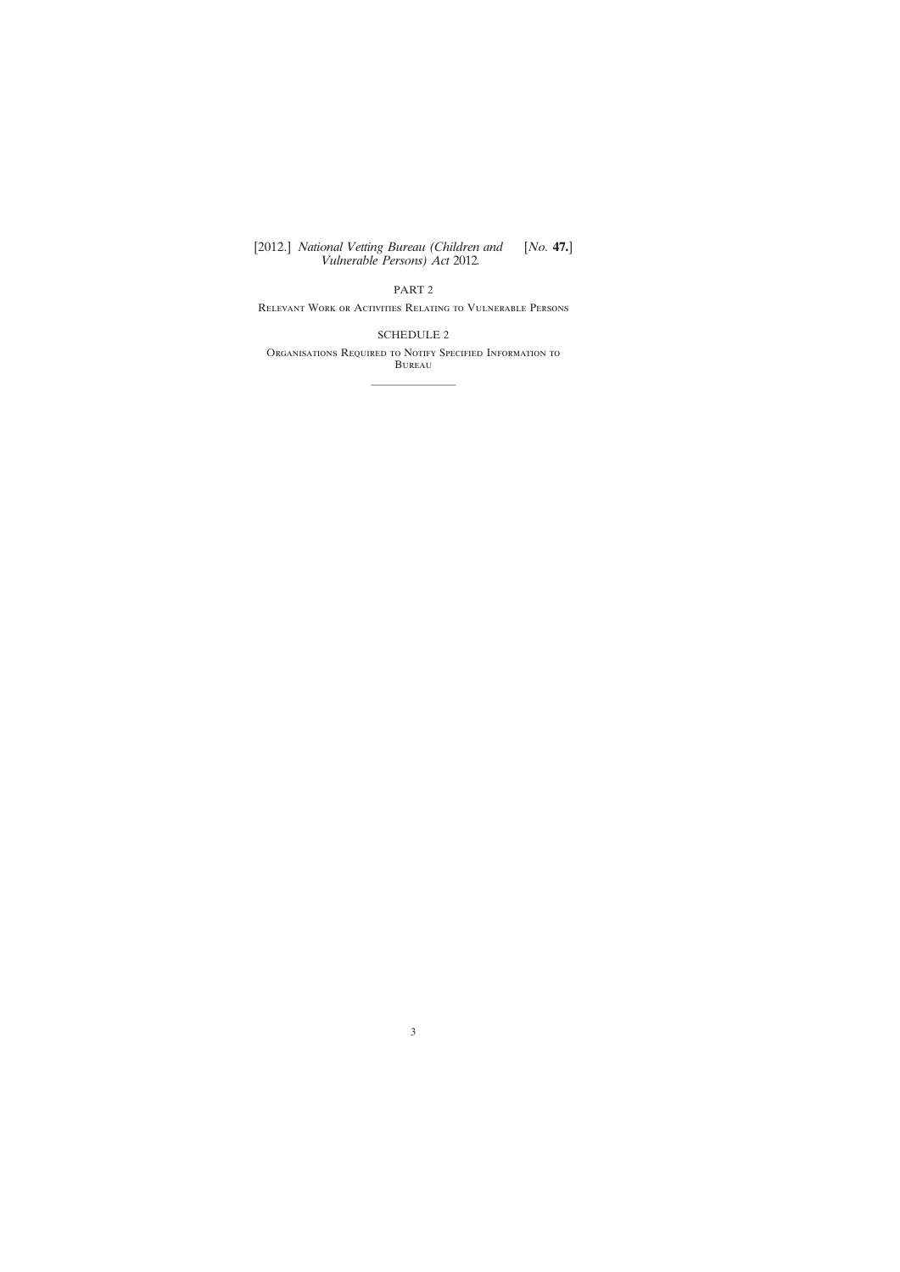PART 2

Relevant Work or Activities Relating to Vulnerable Persons

[SCHEDULE 2](#page-32-0)

Organisations Required to Notify Specified Information to Bureau

————————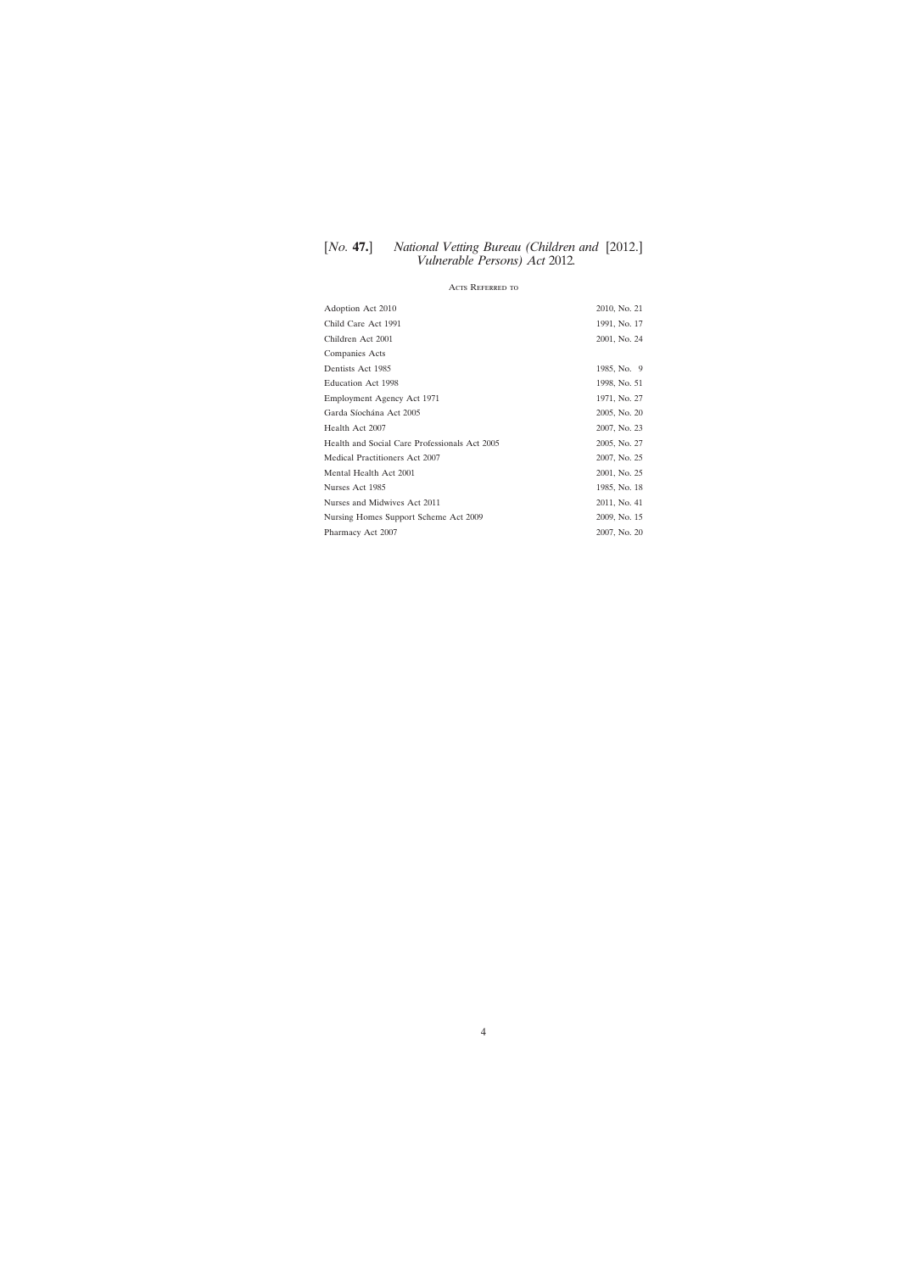## Acts Referred to

| Adoption Act 2010                             | 2010, No. 21 |
|-----------------------------------------------|--------------|
| Child Care Act 1991                           | 1991, No. 17 |
| Children Act 2001                             | 2001, No. 24 |
| Companies Acts                                |              |
| Dentists Act 1985                             | 1985, No. 9  |
| <b>Education Act 1998</b>                     | 1998, No. 51 |
| Employment Agency Act 1971                    | 1971, No. 27 |
| Garda Síochána Act 2005                       | 2005, No. 20 |
| Health Act 2007                               | 2007, No. 23 |
| Health and Social Care Professionals Act 2005 | 2005, No. 27 |
| Medical Practitioners Act 2007                | 2007, No. 25 |
| Mental Health Act 2001                        | 2001, No. 25 |
| Nurses Act 1985                               | 1985, No. 18 |
| Nurses and Midwives Act 2011                  | 2011, No. 41 |
| Nursing Homes Support Scheme Act 2009         | 2009, No. 15 |
| Pharmacy Act 2007                             | 2007, No. 20 |

4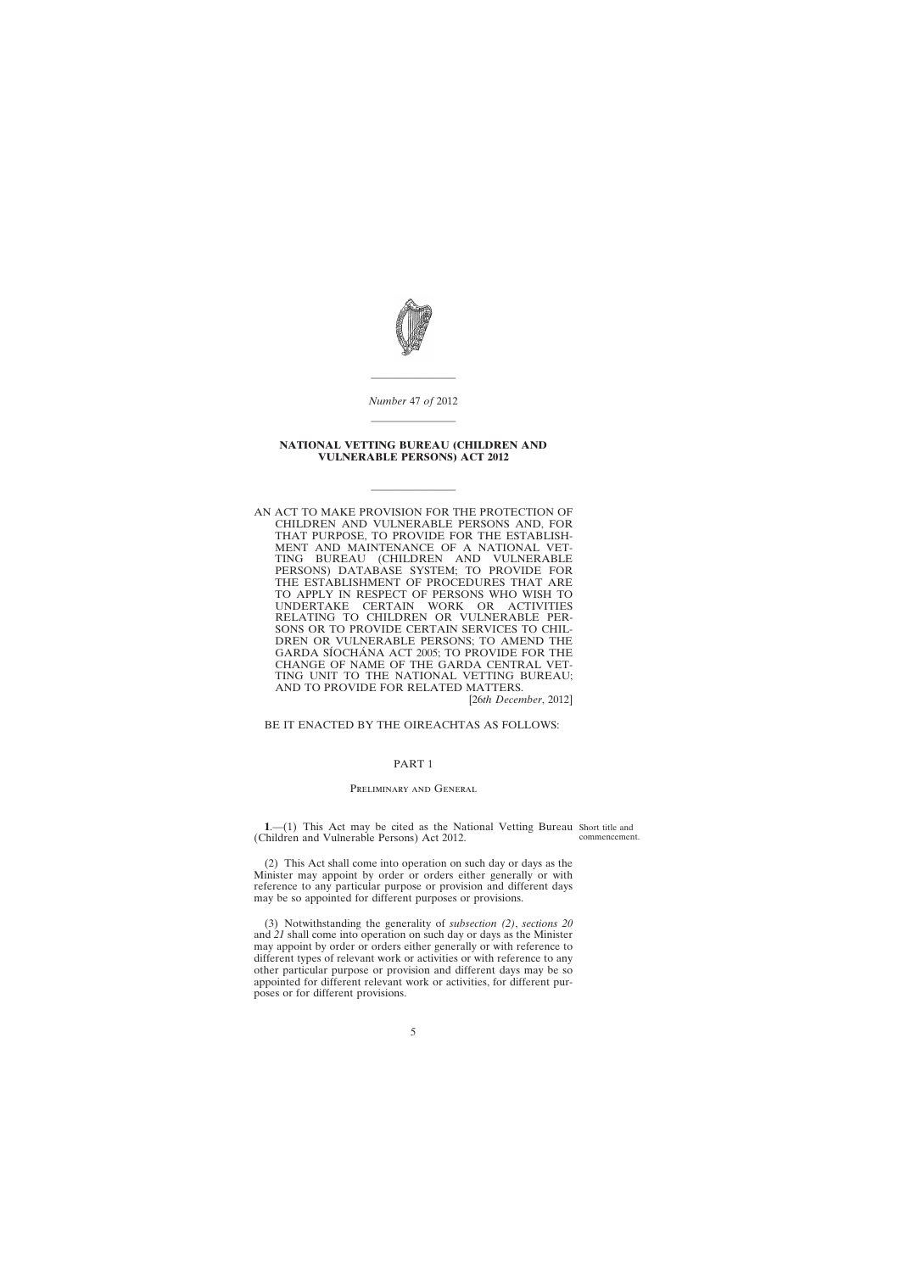<span id="page-4-0"></span>

*Number* 47 *of* 2012

————————

#### **NATIONAL VETTING BUREAU (CHILDREN AND VULNERABLE PERSONS) ACT 2012**

————————

————————

AN ACT TO MAKE PROVISION FOR THE PROTECTION OF CHILDREN AND VULNERABLE PERSONS AND, FOR THAT PURPOSE, TO PROVIDE FOR THE ESTABLISH-MENT AND MAINTENANCE OF A NATIONAL VET-TING BUREAU (CHILDREN AND VULNERABLE PERSONS) DATABASE SYSTEM; TO PROVIDE FOR THE ESTABLISHMENT OF PROCEDURES THAT ARE TO APPLY IN RESPECT OF PERSONS WHO WISH TO UNDERTAKE CERTAIN WORK OR ACTIVITIES RELATING TO CHILDREN OR VULNERABLE PER-SONS OR TO PROVIDE CERTAIN SERVICES TO CHIL-DREN OR VULNERABLE PERSONS; TO AMEND THE GARDA SÍOCHÁNA ACT 2005; TO PROVIDE FOR THE CHANGE OF NAME OF THE GARDA CENTRAL VET-TING UNIT TO THE NATIONAL VETTING BUREAU; AND TO PROVIDE FOR RELATED MATTERS.

[26*th December*, 2012]

BE IT ENACTED BY THE OIREACHTAS AS FOLLOWS:

## PART 1

#### Preliminary and General

**1**.—(1) This Act may be cited as the National Vetting Bureau Short title and (Children and Vulnerable Persons) Act 2012. commencement.

(2) This Act shall come into operation on such day or days as the Minister may appoint by order or orders either generally or with reference to any particular purpose or provision and different days may be so appointed for different purposes or provisions.

(3) Notwithstanding the generality of *subsection (2)*, *sections 20* and *21* shall come into operation on such day or days as the Minister may appoint by order or orders either generally or with reference to different types of relevant work or activities or with reference to any other particular purpose or provision and different days may be so appointed for different relevant work or activities, for different purposes or for different provisions.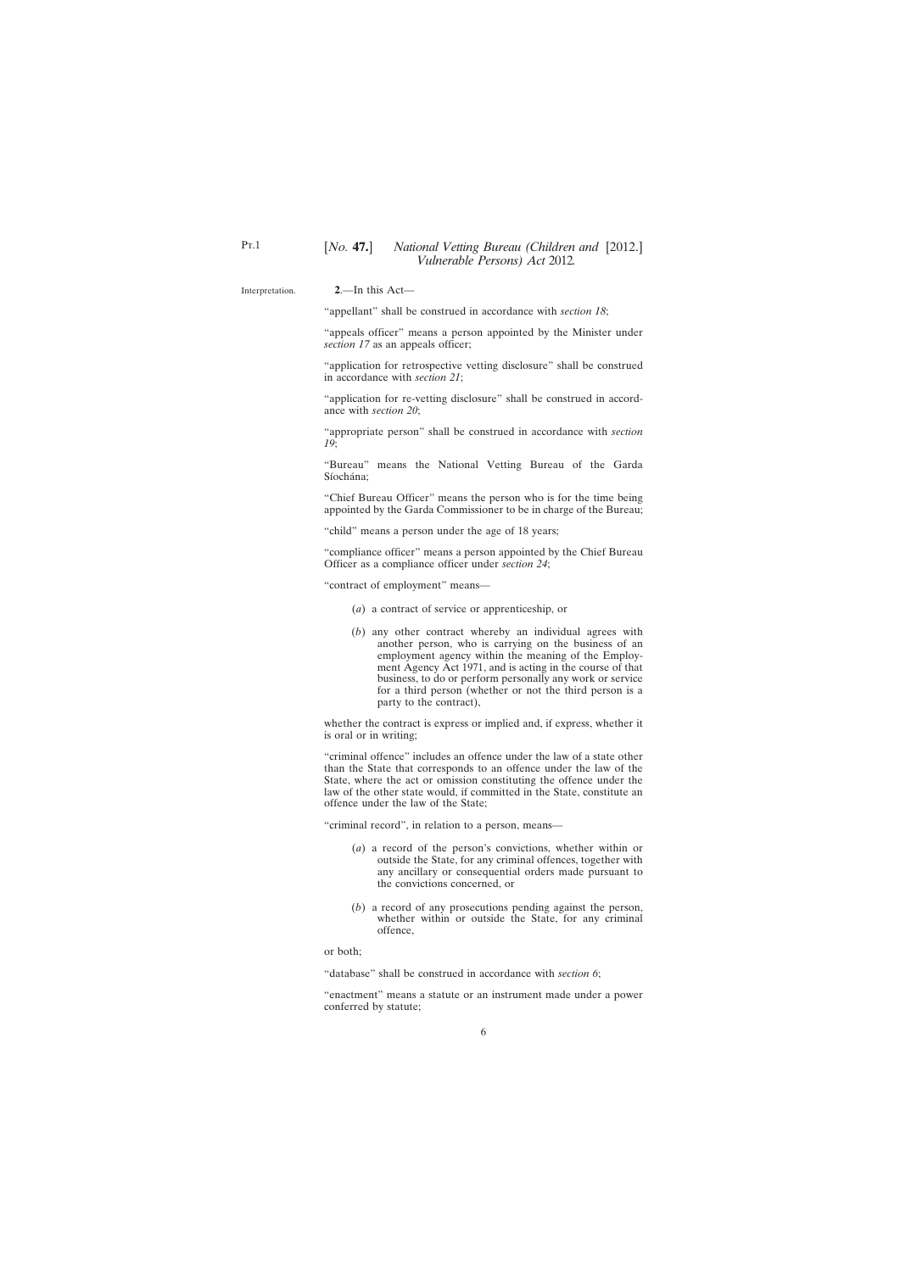#### <span id="page-5-0"></span>Interpretation.

**2**.—In this Act—

"appellant" shall be construed in accordance with *section 18*;

"appeals officer" means a person appointed by the Minister under *section 17* as an appeals officer;

"application for retrospective vetting disclosure" shall be construed in accordance with *section 21*;

"application for re-vetting disclosure" shall be construed in accordance with *section 20*;

"appropriate person" shall be construed in accordance with *section 19*;

"Bureau" means the National Vetting Bureau of the Garda Síochána;

"Chief Bureau Officer" means the person who is for the time being appointed by the Garda Commissioner to be in charge of the Bureau;

"child" means a person under the age of 18 years;

"compliance officer" means a person appointed by the Chief Bureau Officer as a compliance officer under *section 24*;

"contract of employment" means—

- (*a*) a contract of service or apprenticeship, or
- (*b*) any other contract whereby an individual agrees with another person, who is carrying on the business of an employment agency within the meaning of the Employment Agency Act 1971, and is acting in the course of that business, to do or perform personally any work or service for a third person (whether or not the third person is a party to the contract),

whether the contract is express or implied and, if express, whether it is oral or in writing;

"criminal offence" includes an offence under the law of a state other than the State that corresponds to an offence under the law of the State, where the act or omission constituting the offence under the law of the other state would, if committed in the State, constitute an offence under the law of the State;

"criminal record", in relation to a person, means—

- (*a*) a record of the person's convictions, whether within or outside the State, for any criminal offences, together with any ancillary or consequential orders made pursuant to the convictions concerned, or
- (*b*) a record of any prosecutions pending against the person, whether within or outside the State, for any criminal offence,

or both;

"database" shall be construed in accordance with *section 6*;

"enactment" means a statute or an instrument made under a power conferred by statute;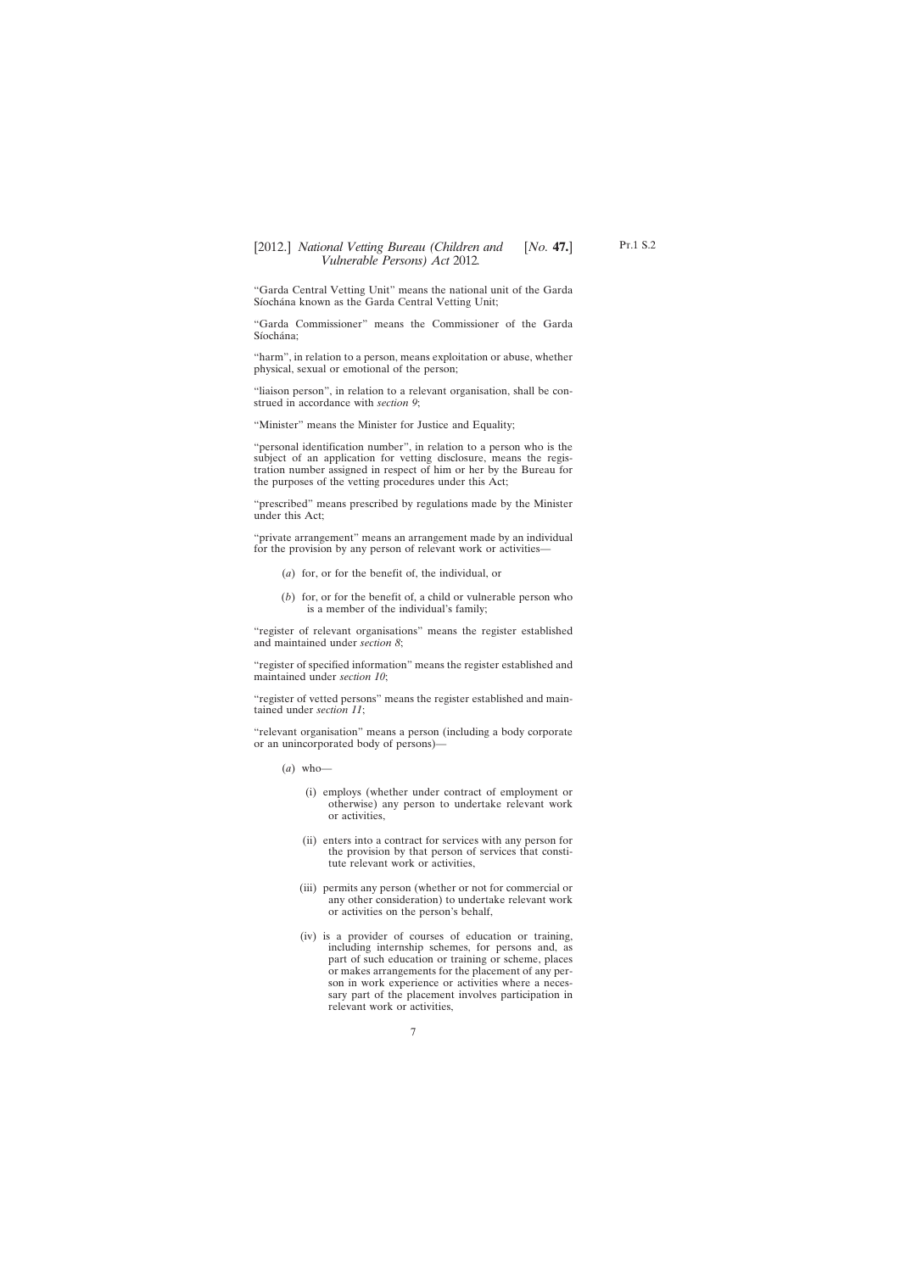"Garda Central Vetting Unit" means the national unit of the Garda Síochána known as the Garda Central Vetting Unit;

"Garda Commissioner" means the Commissioner of the Garda Síochána;

"harm", in relation to a person, means exploitation or abuse, whether physical, sexual or emotional of the person;

"liaison person", in relation to a relevant organisation, shall be construed in accordance with *section 9*;

"Minister" means the Minister for Justice and Equality;

"personal identification number", in relation to a person who is the subject of an application for vetting disclosure, means the registration number assigned in respect of him or her by the Bureau for the purposes of the vetting procedures under this Act;

"prescribed" means prescribed by regulations made by the Minister under this Act;

"private arrangement" means an arrangement made by an individual for the provision by any person of relevant work or activities—

- (*a*) for, or for the benefit of, the individual, or
- (*b*) for, or for the benefit of, a child or vulnerable person who is a member of the individual's family;

"register of relevant organisations" means the register established and maintained under *section 8*;

"register of specified information" means the register established and maintained under *section 10*;

"register of vetted persons" means the register established and maintained under *section 11*;

"relevant organisation" means a person (including a body corporate or an unincorporated body of persons)—

- (*a*) who—
	- (i) employs (whether under contract of employment or otherwise) any person to undertake relevant work or activities,
	- (ii) enters into a contract for services with any person for the provision by that person of services that constitute relevant work or activities,
	- (iii) permits any person (whether or not for commercial or any other consideration) to undertake relevant work or activities on the person's behalf,
	- (iv) is a provider of courses of education or training, including internship schemes, for persons and, as part of such education or training or scheme, places or makes arrangements for the placement of any person in work experience or activities where a necessary part of the placement involves participation in relevant work or activities,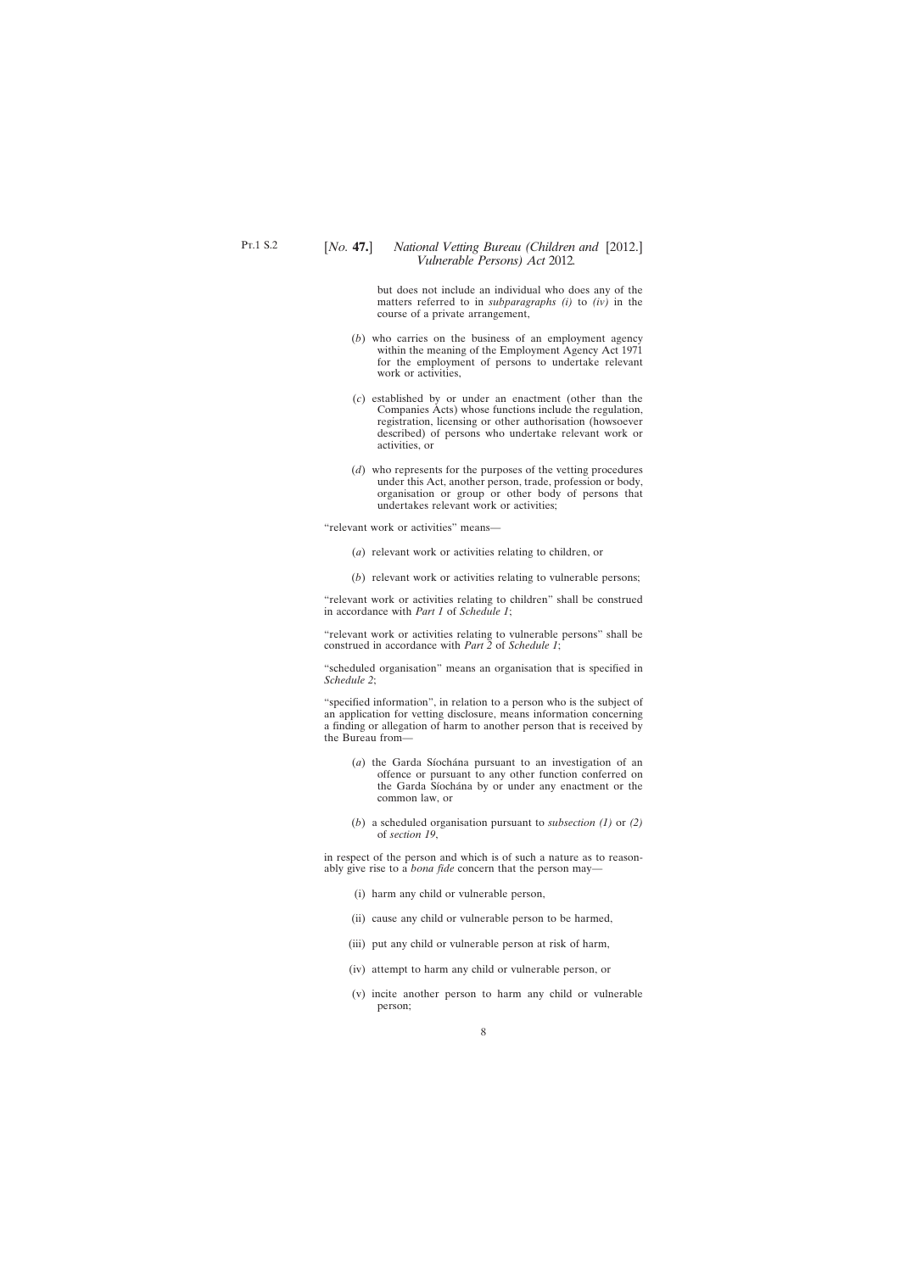but does not include an individual who does any of the matters referred to in *subparagraphs (i)* to *(iv)* in the course of a private arrangement,

- (*b*) who carries on the business of an employment agency within the meaning of the Employment Agency Act 1971 for the employment of persons to undertake relevant work or activities,
- (*c*) established by or under an enactment (other than the Companies Acts) whose functions include the regulation, registration, licensing or other authorisation (howsoever described) of persons who undertake relevant work or activities, or
- (*d*) who represents for the purposes of the vetting procedures under this Act, another person, trade, profession or body, organisation or group or other body of persons that undertakes relevant work or activities;

"relevant work or activities" means—

- (*a*) relevant work or activities relating to children, or
- (*b*) relevant work or activities relating to vulnerable persons;

"relevant work or activities relating to children" shall be construed in accordance with *Part 1* of *Schedule 1*;

"relevant work or activities relating to vulnerable persons" shall be construed in accordance with *Part 2* of *Schedule 1*;

"scheduled organisation" means an organisation that is specified in *Schedule 2*;

"specified information", in relation to a person who is the subject of an application for vetting disclosure, means information concerning a finding or allegation of harm to another person that is received by the Bureau from—

- (*a*) the Garda Síochána pursuant to an investigation of an offence or pursuant to any other function conferred on the Garda Síochána by or under any enactment or the common law, or
- (*b*) a scheduled organisation pursuant to *subsection (1)* or *(2)* of *section 19*,

in respect of the person and which is of such a nature as to reasonably give rise to a *bona fide* concern that the person may—

- (i) harm any child or vulnerable person,
- (ii) cause any child or vulnerable person to be harmed,
- (iii) put any child or vulnerable person at risk of harm,
- (iv) attempt to harm any child or vulnerable person, or
- (v) incite another person to harm any child or vulnerable person;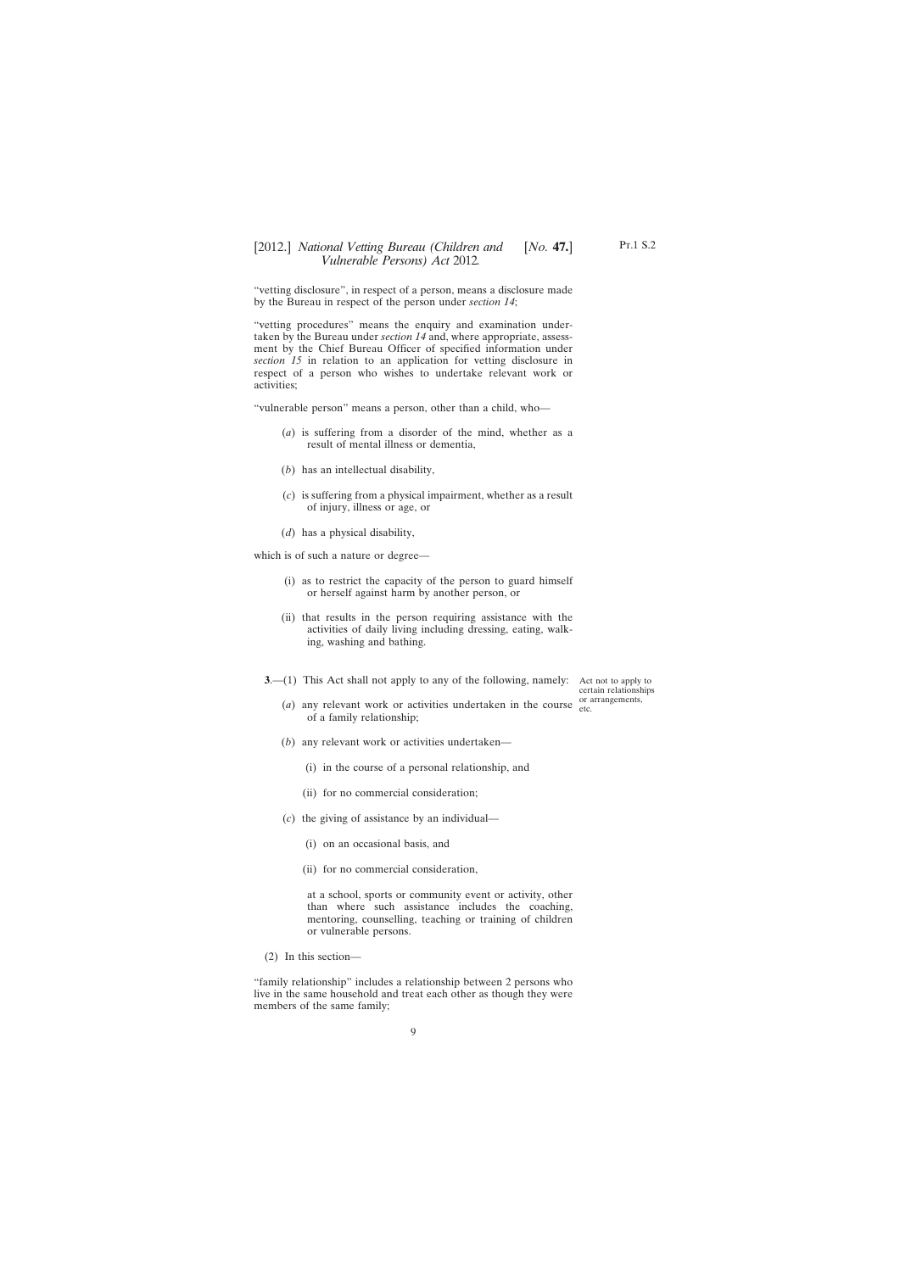<span id="page-8-0"></span>"vetting disclosure", in respect of a person, means a disclosure made by the Bureau in respect of the person under *section 14*;

"vetting procedures" means the enquiry and examination undertaken by the Bureau under *section 14* and, where appropriate, assessment by the Chief Bureau Officer of specified information under *section 15* in relation to an application for vetting disclosure in respect of a person who wishes to undertake relevant work or activities;

"vulnerable person" means a person, other than a child, who—

- (*a*) is suffering from a disorder of the mind, whether as a result of mental illness or dementia,
- (*b*) has an intellectual disability,
- (*c*) is suffering from a physical impairment, whether as a result of injury, illness or age, or
- (*d*) has a physical disability,

which is of such a nature or degree—

- (i) as to restrict the capacity of the person to guard himself or herself against harm by another person, or
- (ii) that results in the person requiring assistance with the activities of daily living including dressing, eating, walking, washing and bathing.
- **3**.—(1) This Act shall not apply to any of the following, namely:

Act not to apply to certain relationships or arrangements,

- (*a*) any relevant work or activities undertaken in the course  $\frac{d}{dt}$ of a family relationship;
- (*b*) any relevant work or activities undertaken—
	- (i) in the course of a personal relationship, and
	- (ii) for no commercial consideration;
- (*c*) the giving of assistance by an individual—
	- (i) on an occasional basis, and
	- (ii) for no commercial consideration,

at a school, sports or community event or activity, other than where such assistance includes the coaching, mentoring, counselling, teaching or training of children or vulnerable persons.

(2) In this section—

"family relationship" includes a relationship between 2 persons who live in the same household and treat each other as though they were members of the same family;

Pt.1 S.2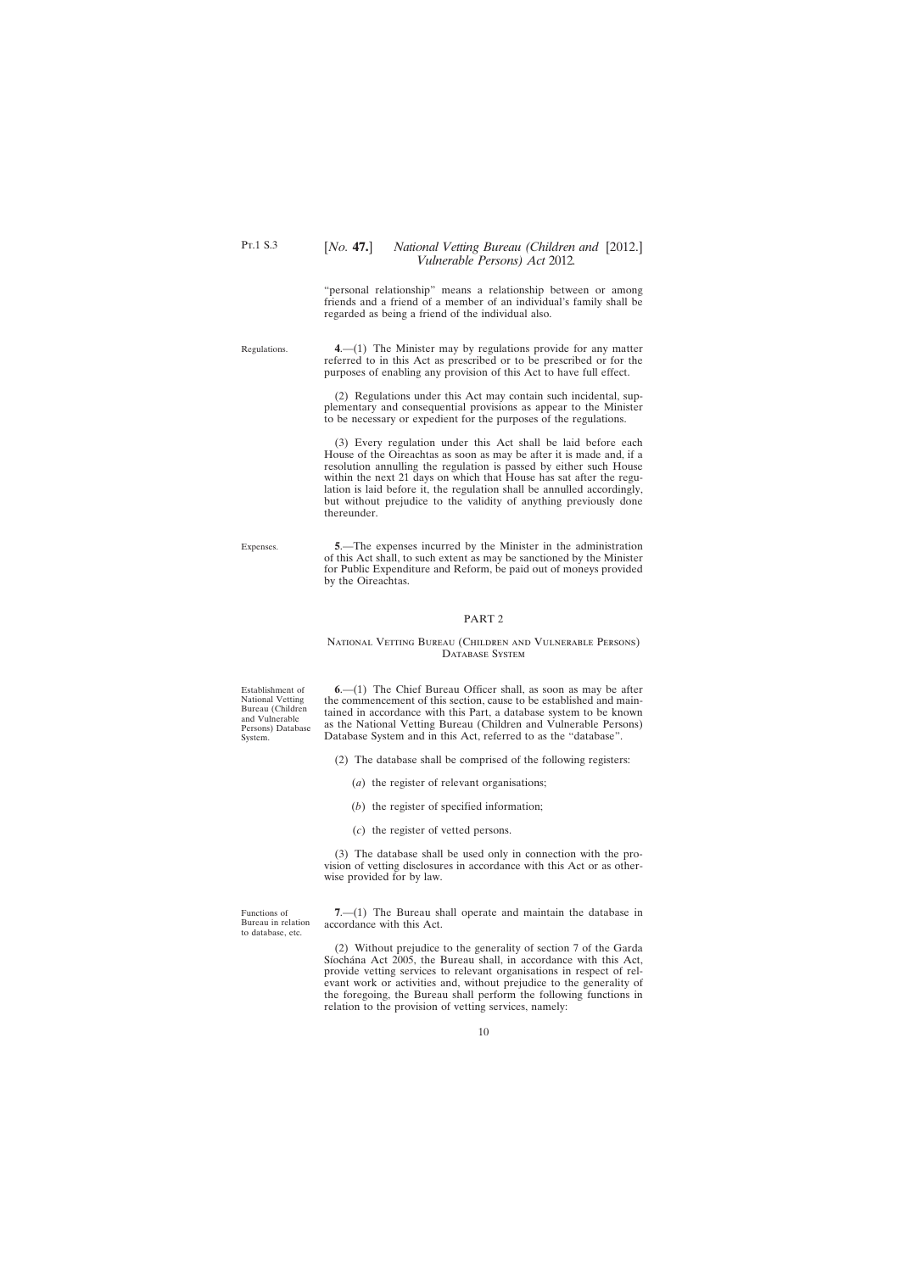"personal relationship" means a relationship between or among friends and a friend of a member of an individual's family shall be regarded as being a friend of the individual also.

<span id="page-9-0"></span>Regulations.

**4**.—(1) The Minister may by regulations provide for any matter referred to in this Act as prescribed or to be prescribed or for the purposes of enabling any provision of this Act to have full effect.

(2) Regulations under this Act may contain such incidental, supplementary and consequential provisions as appear to the Minister to be necessary or expedient for the purposes of the regulations.

(3) Every regulation under this Act shall be laid before each House of the Oireachtas as soon as may be after it is made and, if a resolution annulling the regulation is passed by either such House within the next 21 days on which that House has sat after the regulation is laid before it, the regulation shall be annulled accordingly, but without prejudice to the validity of anything previously done thereunder.

Expenses.

**5**.—The expenses incurred by the Minister in the administration of this Act shall, to such extent as may be sanctioned by the Minister for Public Expenditure and Reform, be paid out of moneys provided by the Oireachtas.

### PART 2

#### National Vetting Bureau (Children and Vulnerable Persons) DATABASE SYSTEM

Establishment of National Vetting Bureau (Children and Vulnerable Persons) Database System.

**6**.—(1) The Chief Bureau Officer shall, as soon as may be after the commencement of this section, cause to be established and maintained in accordance with this Part, a database system to be known as the National Vetting Bureau (Children and Vulnerable Persons) Database System and in this Act, referred to as the "database".

- (2) The database shall be comprised of the following registers:
	- (*a*) the register of relevant organisations;
	- (*b*) the register of specified information;
	- (*c*) the register of vetted persons.

(3) The database shall be used only in connection with the provision of vetting disclosures in accordance with this Act or as otherwise provided for by law.

Functions of Bureau in relation to database, etc.

**7**.—(1) The Bureau shall operate and maintain the database in accordance with this Act.

(2) Without prejudice to the generality of section 7 of the Garda Síochána Act 2005, the Bureau shall, in accordance with this Act, provide vetting services to relevant organisations in respect of relevant work or activities and, without prejudice to the generality of the foregoing, the Bureau shall perform the following functions in relation to the provision of vetting services, namely: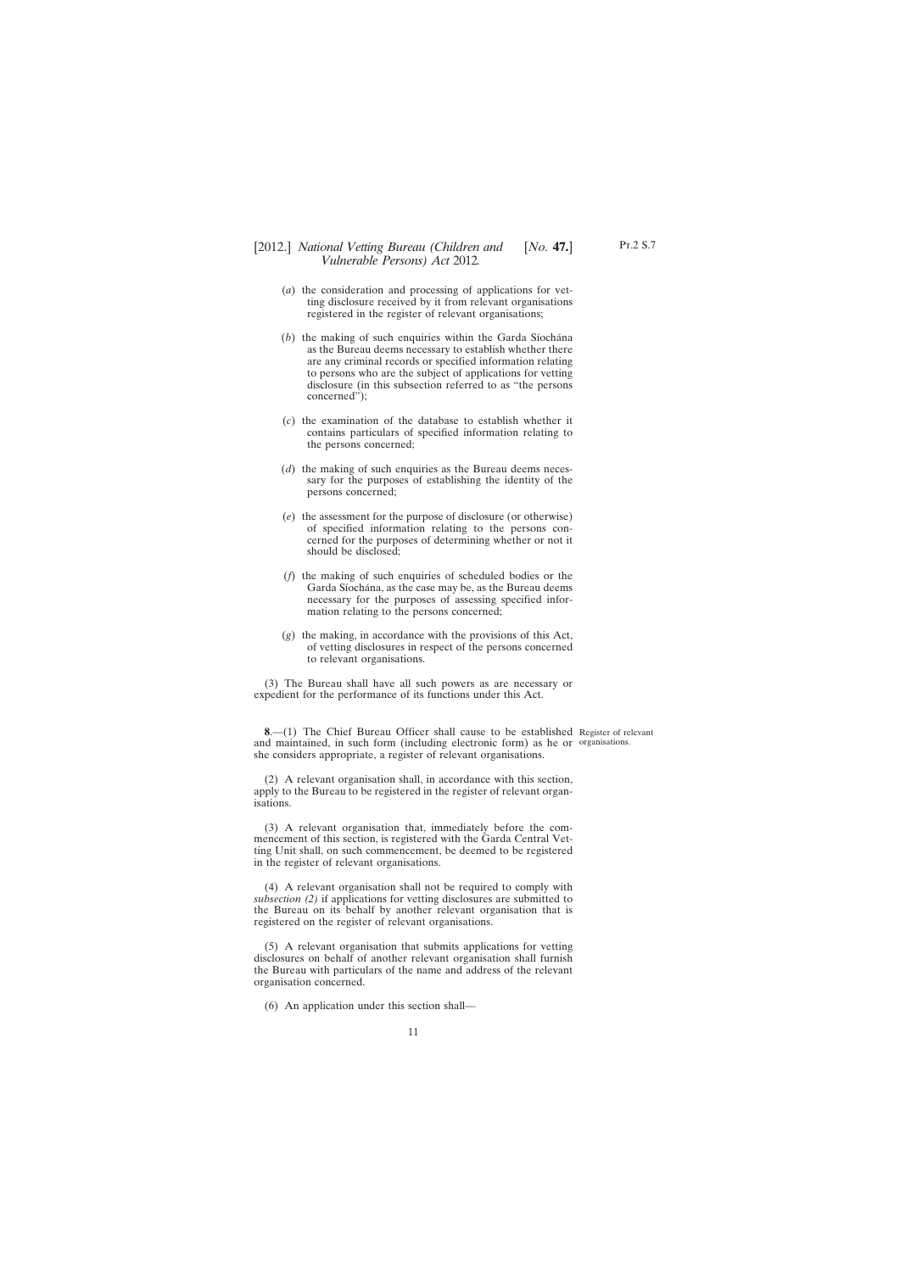- <span id="page-10-0"></span>(*a*) the consideration and processing of applications for vetting disclosure received by it from relevant organisations registered in the register of relevant organisations;
- (*b*) the making of such enquiries within the Garda Síochána as the Bureau deems necessary to establish whether there are any criminal records or specified information relating to persons who are the subject of applications for vetting disclosure (in this subsection referred to as "the persons concerned");
- (*c*) the examination of the database to establish whether it contains particulars of specified information relating to the persons concerned;
- (*d*) the making of such enquiries as the Bureau deems necessary for the purposes of establishing the identity of the persons concerned;
- (*e*) the assessment for the purpose of disclosure (or otherwise) of specified information relating to the persons concerned for the purposes of determining whether or not it should be disclosed;
- (*f*) the making of such enquiries of scheduled bodies or the Garda Síochána, as the case may be, as the Bureau deems necessary for the purposes of assessing specified information relating to the persons concerned;
- (*g*) the making, in accordance with the provisions of this Act, of vetting disclosures in respect of the persons concerned to relevant organisations.

(3) The Bureau shall have all such powers as are necessary or expedient for the performance of its functions under this Act.

**8**.—(1) The Chief Bureau Officer shall cause to be established Register of relevant and maintained, in such form (including electronic form) as he or organisations. she considers appropriate, a register of relevant organisations.

(2) A relevant organisation shall, in accordance with this section, apply to the Bureau to be registered in the register of relevant organisations.

(3) A relevant organisation that, immediately before the commencement of this section, is registered with the Garda Central Vetting Unit shall, on such commencement, be deemed to be registered in the register of relevant organisations.

(4) A relevant organisation shall not be required to comply with *subsection (2)* if applications for vetting disclosures are submitted to the Bureau on its behalf by another relevant organisation that is registered on the register of relevant organisations.

(5) A relevant organisation that submits applications for vetting disclosures on behalf of another relevant organisation shall furnish the Bureau with particulars of the name and address of the relevant organisation concerned.

(6) An application under this section shall—

Pt.2 S.7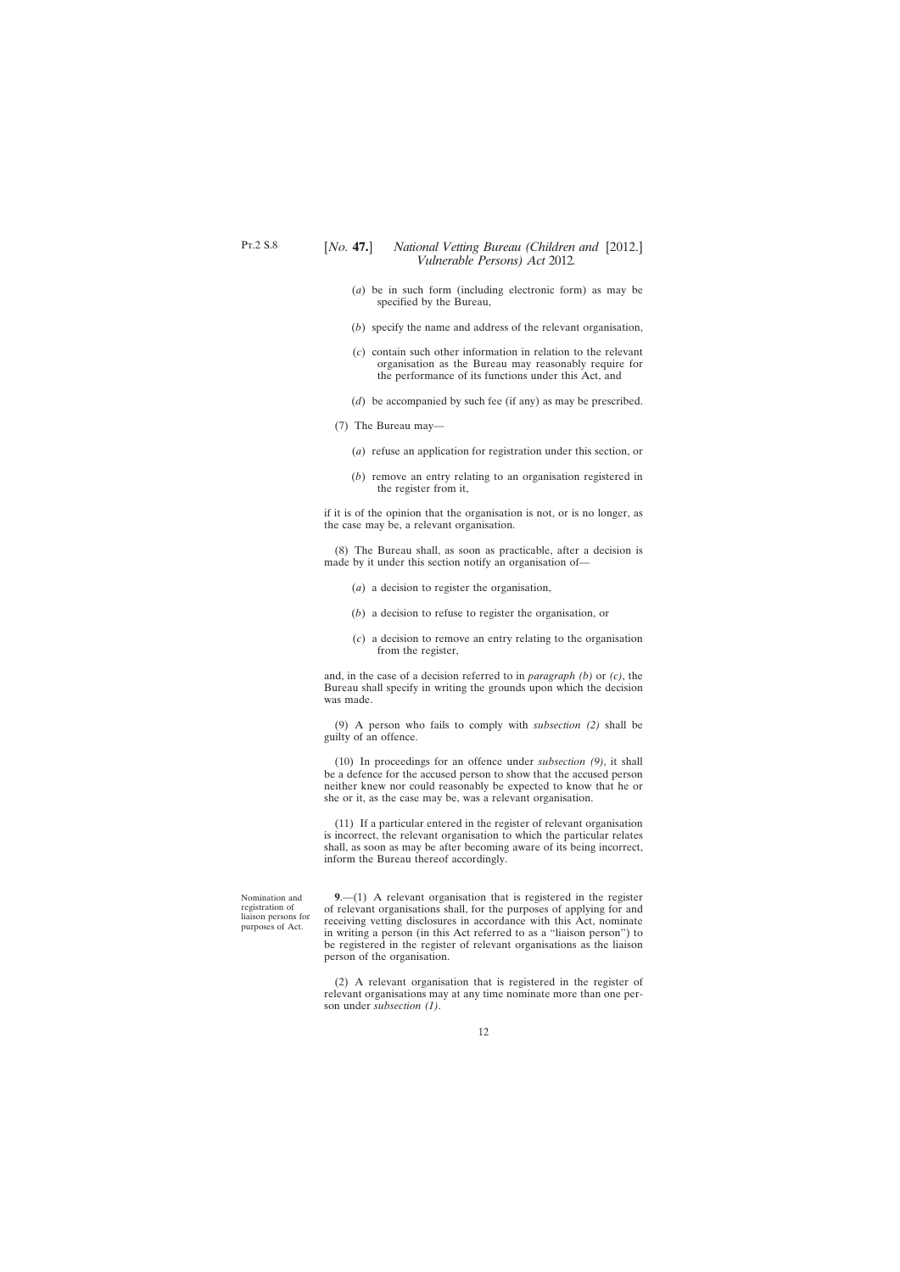- <span id="page-11-0"></span>(*a*) be in such form (including electronic form) as may be specified by the Bureau,
- (*b*) specify the name and address of the relevant organisation,
- (*c*) contain such other information in relation to the relevant organisation as the Bureau may reasonably require for the performance of its functions under this Act, and
- (*d*) be accompanied by such fee (if any) as may be prescribed.
- (7) The Bureau may—
	- (*a*) refuse an application for registration under this section, or
	- (*b*) remove an entry relating to an organisation registered in the register from it,

if it is of the opinion that the organisation is not, or is no longer, as the case may be, a relevant organisation.

(8) The Bureau shall, as soon as practicable, after a decision is made by it under this section notify an organisation of—

- (*a*) a decision to register the organisation,
- (*b*) a decision to refuse to register the organisation, or
- (*c*) a decision to remove an entry relating to the organisation from the register,

and, in the case of a decision referred to in *paragraph (b)* or *(c)*, the Bureau shall specify in writing the grounds upon which the decision was made.

(9) A person who fails to comply with *subsection (2)* shall be guilty of an offence.

(10) In proceedings for an offence under *subsection (9)*, it shall be a defence for the accused person to show that the accused person neither knew nor could reasonably be expected to know that he or she or it, as the case may be, was a relevant organisation.

(11) If a particular entered in the register of relevant organisation is incorrect, the relevant organisation to which the particular relates shall, as soon as may be after becoming aware of its being incorrect, inform the Bureau thereof accordingly.

Nomination and registration of liaison persons for purposes of Act.

**9**.—(1) A relevant organisation that is registered in the register of relevant organisations shall, for the purposes of applying for and receiving vetting disclosures in accordance with this Act, nominate in writing a person (in this Act referred to as a "liaison person") to be registered in the register of relevant organisations as the liaison person of the organisation.

(2) A relevant organisation that is registered in the register of relevant organisations may at any time nominate more than one person under *subsection (1)*.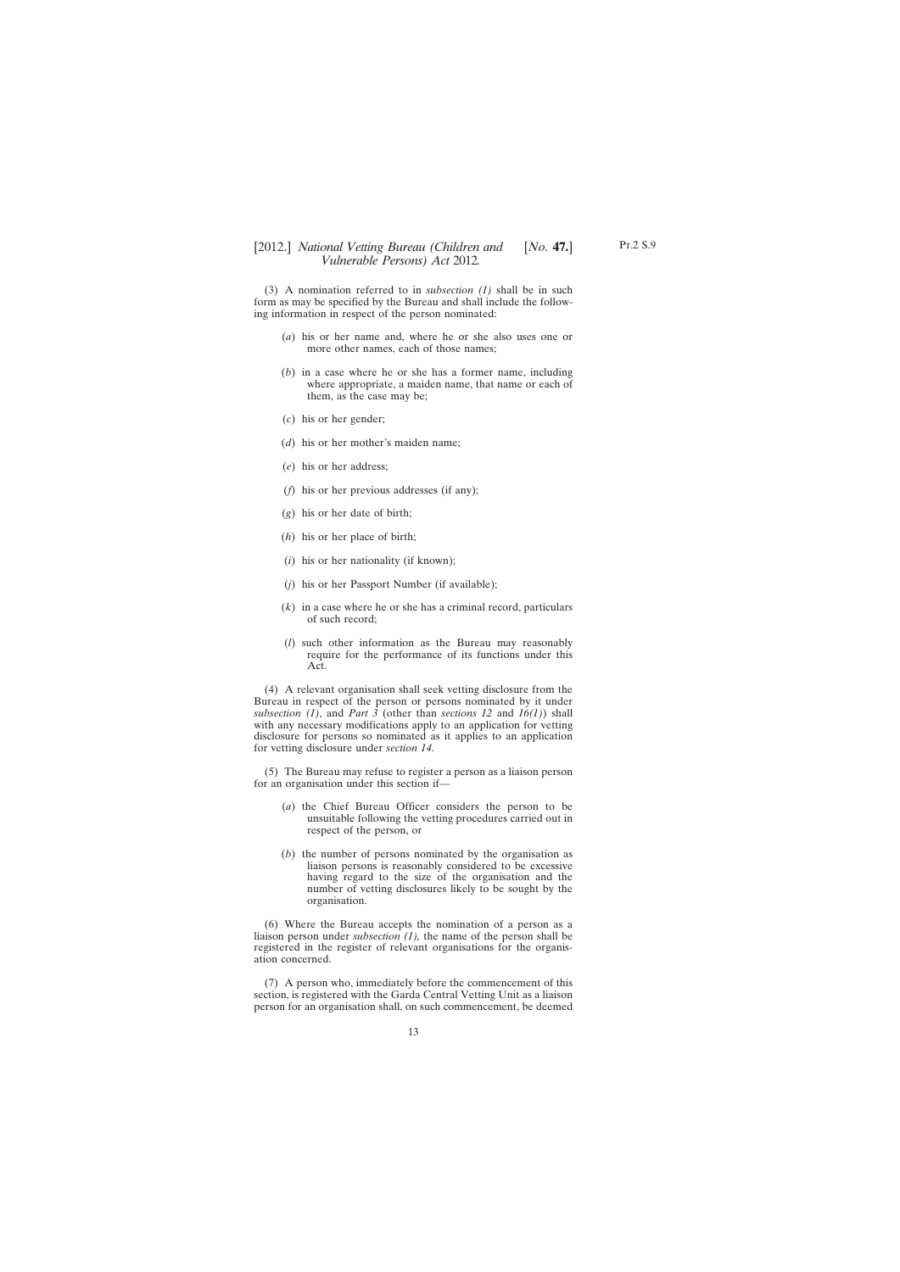(3) A nomination referred to in *subsection (1)* shall be in such form as may be specified by the Bureau and shall include the following information in respect of the person nominated:

- (*a*) his or her name and, where he or she also uses one or more other names, each of those names;
- (*b*) in a case where he or she has a former name, including where appropriate, a maiden name, that name or each of them, as the case may be;
- (*c*) his or her gender;
- (*d*) his or her mother's maiden name;
- (*e*) his or her address;
- (*f*) his or her previous addresses (if any);
- (*g*) his or her date of birth;
- (*h*) his or her place of birth;
- (*i*) his or her nationality (if known);
- (*j*) his or her Passport Number (if available);
- (*k*) in a case where he or she has a criminal record, particulars of such record;
- (*l*) such other information as the Bureau may reasonably require for the performance of its functions under this Act.

(4) A relevant organisation shall seek vetting disclosure from the Bureau in respect of the person or persons nominated by it under *subsection (1)*, and *Part 3* (other than *sections 12* and *16(1)*) shall with any necessary modifications apply to an application for vetting disclosure for persons so nominated as it applies to an application for vetting disclosure under *section 14*.

(5) The Bureau may refuse to register a person as a liaison person for an organisation under this section if—

- (*a*) the Chief Bureau Officer considers the person to be unsuitable following the vetting procedures carried out in respect of the person, or
- (*b*) the number of persons nominated by the organisation as liaison persons is reasonably considered to be excessive having regard to the size of the organisation and the number of vetting disclosures likely to be sought by the organisation.

(6) Where the Bureau accepts the nomination of a person as a liaison person under *subsection (1),* the name of the person shall be registered in the register of relevant organisations for the organisation concerned.

(7) A person who, immediately before the commencement of this section, is registered with the Garda Central Vetting Unit as a liaison person for an organisation shall, on such commencement, be deemed Pt.2 S.9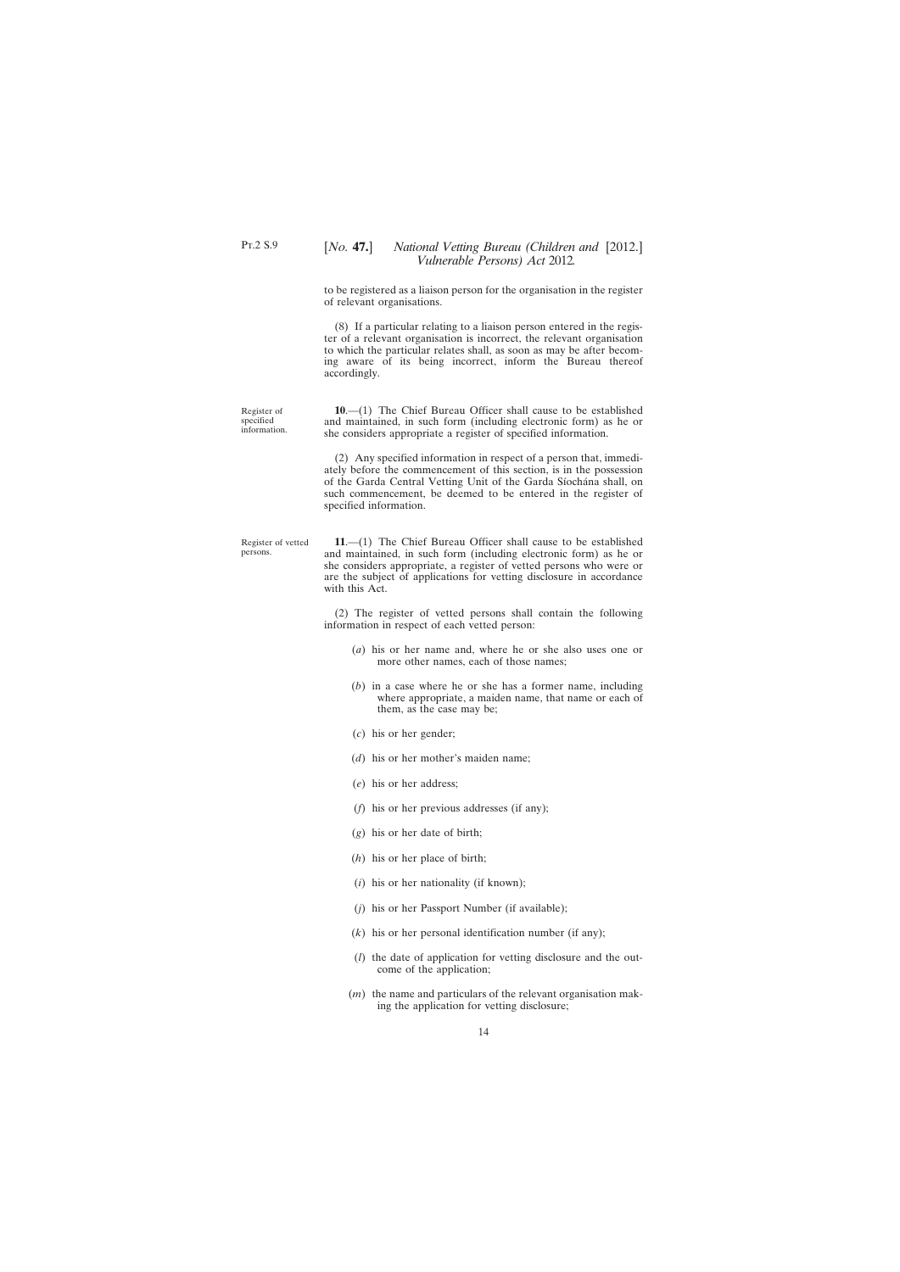<span id="page-13-0"></span>to be registered as a liaison person for the organisation in the register of relevant organisations.

(8) If a particular relating to a liaison person entered in the register of a relevant organisation is incorrect, the relevant organisation to which the particular relates shall, as soon as may be after becoming aware of its being incorrect, inform the Bureau thereof accordingly.

Register of specified information.

**10**.—(1) The Chief Bureau Officer shall cause to be established and maintained, in such form (including electronic form) as he or she considers appropriate a register of specified information.

(2) Any specified information in respect of a person that, immediately before the commencement of this section, is in the possession of the Garda Central Vetting Unit of the Garda Síochána shall, on such commencement, be deemed to be entered in the register of specified information.

Register of vetted persons.

**11**.—(1) The Chief Bureau Officer shall cause to be established and maintained, in such form (including electronic form) as he or she considers appropriate, a register of vetted persons who were or are the subject of applications for vetting disclosure in accordance with this Act.

(2) The register of vetted persons shall contain the following information in respect of each vetted person:

- (*a*) his or her name and, where he or she also uses one or more other names, each of those names;
- (*b*) in a case where he or she has a former name, including where appropriate, a maiden name, that name or each of them, as the case may be;
- (*c*) his or her gender;
- (*d*) his or her mother's maiden name;
- (*e*) his or her address;
- (*f*) his or her previous addresses (if any);
- (*g*) his or her date of birth;
- (*h*) his or her place of birth;
- (*i*) his or her nationality (if known);
- (*j*) his or her Passport Number (if available);
- (*k*) his or her personal identification number (if any);
- (*l*) the date of application for vetting disclosure and the outcome of the application;
- (*m*) the name and particulars of the relevant organisation making the application for vetting disclosure;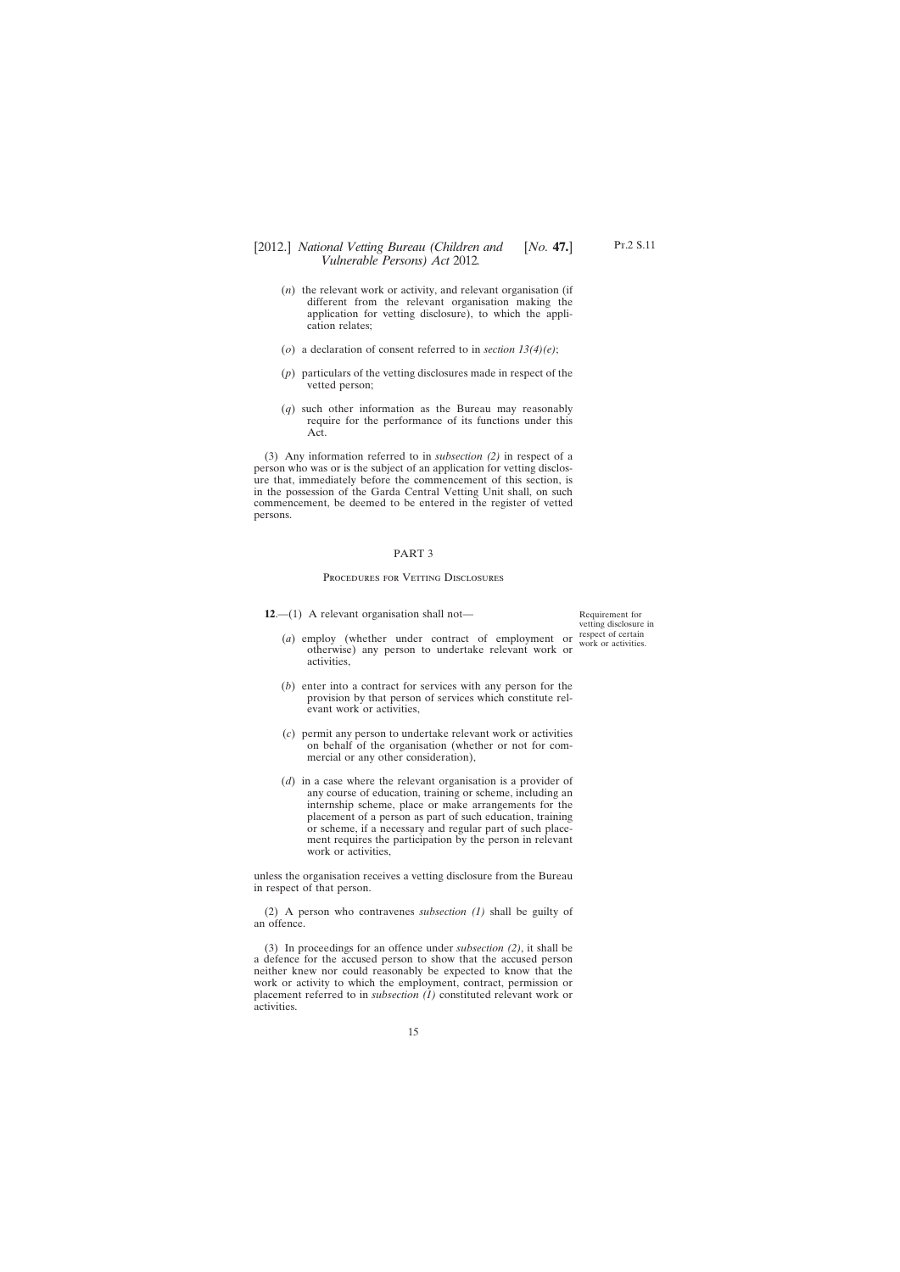- <span id="page-14-0"></span>(*n*) the relevant work or activity, and relevant organisation (if different from the relevant organisation making the application for vetting disclosure), to which the application relates;
- (*o*) a declaration of consent referred to in *section 13(4)(e)*;
- (*p*) particulars of the vetting disclosures made in respect of the vetted person;
- (*q*) such other information as the Bureau may reasonably require for the performance of its functions under this Act.

(3) Any information referred to in *subsection (2)* in respect of a person who was or is the subject of an application for vetting disclosure that, immediately before the commencement of this section, is in the possession of the Garda Central Vetting Unit shall, on such commencement, be deemed to be entered in the register of vetted persons.

### PART 3

### Procedures for Vetting Disclosures

**12**.—(1) A relevant organisation shall not—

(*a*) employ (whether under contract of employment or otherwise) any person to undertake relevant work or activities,

- (*b*) enter into a contract for services with any person for the provision by that person of services which constitute relevant work or activities,
- (*c*) permit any person to undertake relevant work or activities on behalf of the organisation (whether or not for commercial or any other consideration),
- (*d*) in a case where the relevant organisation is a provider of any course of education, training or scheme, including an internship scheme, place or make arrangements for the placement of a person as part of such education, training or scheme, if a necessary and regular part of such placement requires the participation by the person in relevant work or activities,

unless the organisation receives a vetting disclosure from the Bureau in respect of that person.

(2) A person who contravenes *subsection (1)* shall be guilty of an offence.

(3) In proceedings for an offence under *subsection (2)*, it shall be a defence for the accused person to show that the accused person neither knew nor could reasonably be expected to know that the work or activity to which the employment, contract, permission or placement referred to in *subsection (1)* constituted relevant work or activities.

Requirement for vetting disclosure in respect of certain work or activities.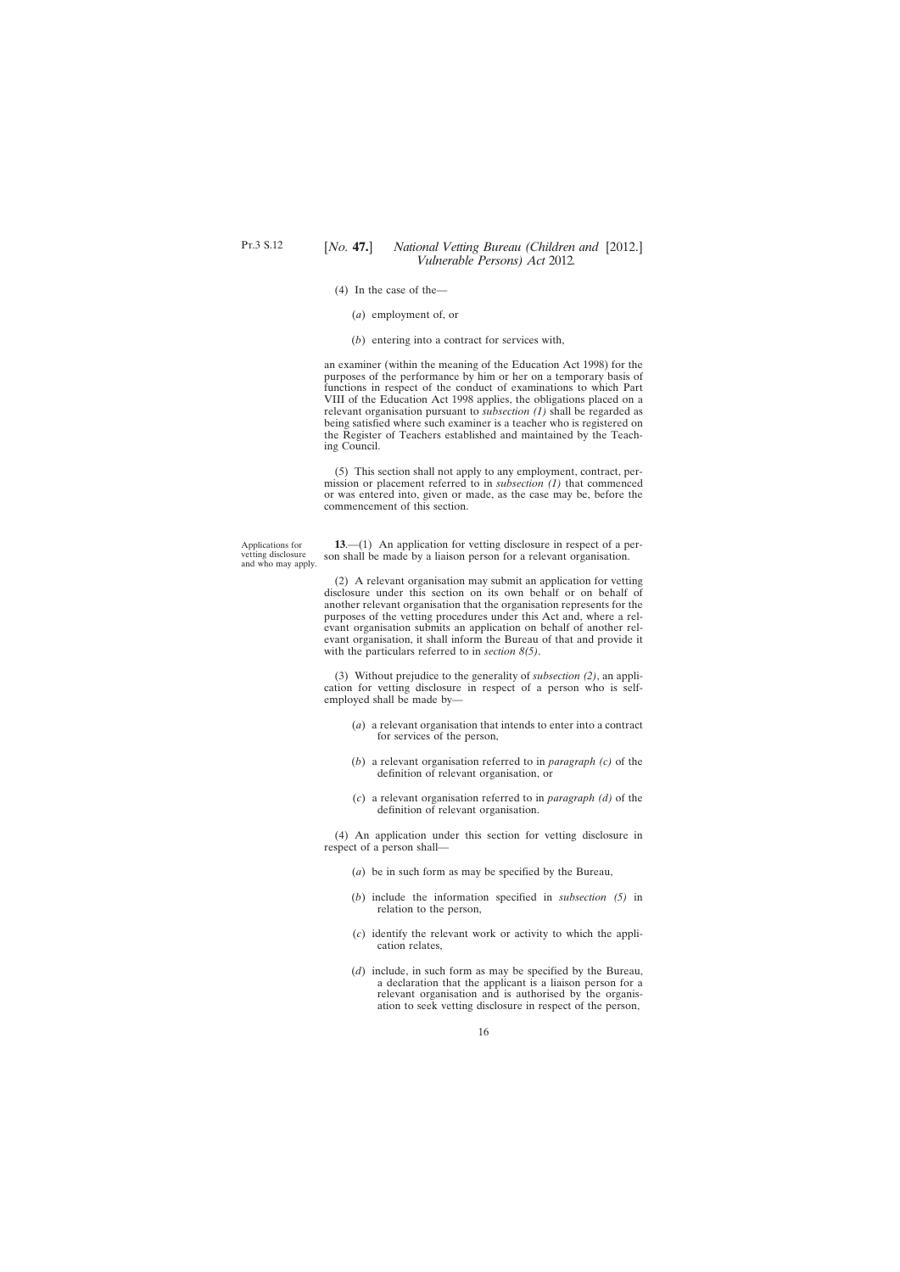- <span id="page-15-0"></span>Pt.3 S.12
- (4) In the case of the—
	- (*a*) employment of, or
	- (*b*) entering into a contract for services with,

an examiner (within the meaning of the Education Act 1998) for the purposes of the performance by him or her on a temporary basis of functions in respect of the conduct of examinations to which Part VIII of the Education Act 1998 applies, the obligations placed on a relevant organisation pursuant to *subsection (1)* shall be regarded as being satisfied where such examiner is a teacher who is registered on the Register of Teachers established and maintained by the Teaching Council.

(5) This section shall not apply to any employment, contract, permission or placement referred to in *subsection (1)* that commenced or was entered into, given or made, as the case may be, before the commencement of this section.

Applications for vetting disclosure and who may apply.

**13**.—(1) An application for vetting disclosure in respect of a person shall be made by a liaison person for a relevant organisation.

(2) A relevant organisation may submit an application for vetting disclosure under this section on its own behalf or on behalf of another relevant organisation that the organisation represents for the purposes of the vetting procedures under this Act and, where a relevant organisation submits an application on behalf of another relevant organisation, it shall inform the Bureau of that and provide it with the particulars referred to in *section 8(5)*.

(3) Without prejudice to the generality of *subsection (2)*, an application for vetting disclosure in respect of a person who is selfemployed shall be made by—

- (*a*) a relevant organisation that intends to enter into a contract for services of the person,
- (*b*) a relevant organisation referred to in *paragraph (c)* of the definition of relevant organisation, or
- (*c*) a relevant organisation referred to in *paragraph (d)* of the definition of relevant organisation.

(4) An application under this section for vetting disclosure in respect of a person shall—

- (*a*) be in such form as may be specified by the Bureau,
- (*b*) include the information specified in *subsection (5)* in relation to the person,
- (*c*) identify the relevant work or activity to which the application relates,
- (*d*) include, in such form as may be specified by the Bureau, a declaration that the applicant is a liaison person for a relevant organisation and is authorised by the organisation to seek vetting disclosure in respect of the person,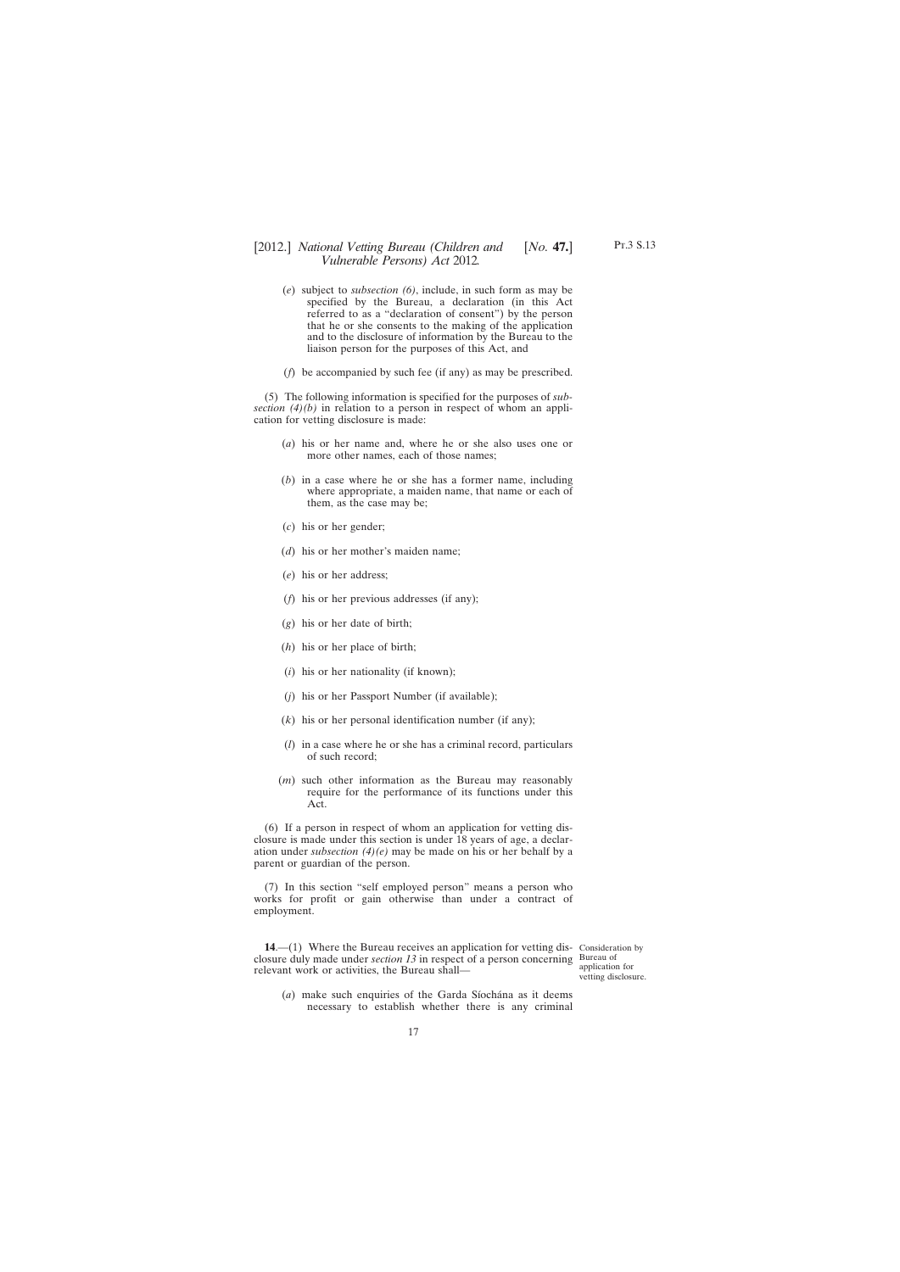- <span id="page-16-0"></span>(*e*) subject to *subsection (6)*, include, in such form as may be specified by the Bureau, a declaration (in this Act referred to as a "declaration of consent") by the person that he or she consents to the making of the application and to the disclosure of information by the Bureau to the liaison person for the purposes of this Act, and
- (*f*) be accompanied by such fee (if any) as may be prescribed.

(5) The following information is specified for the purposes of *subsection (4)(b)* in relation to a person in respect of whom an application for vetting disclosure is made:

- (*a*) his or her name and, where he or she also uses one or more other names, each of those names;
- (*b*) in a case where he or she has a former name, including where appropriate, a maiden name, that name or each of them, as the case may be;
- (*c*) his or her gender;
- (*d*) his or her mother's maiden name;
- (*e*) his or her address;
- (*f*) his or her previous addresses (if any);
- (*g*) his or her date of birth;
- (*h*) his or her place of birth;
- (*i*) his or her nationality (if known);
- (*j*) his or her Passport Number (if available);
- (*k*) his or her personal identification number (if any);
- (*l*) in a case where he or she has a criminal record, particulars of such record;
- (*m*) such other information as the Bureau may reasonably require for the performance of its functions under this Act.

(6) If a person in respect of whom an application for vetting disclosure is made under this section is under 18 years of age, a declaration under *subsection (4)(e)* may be made on his or her behalf by a parent or guardian of the person.

(7) In this section "self employed person" means a person who works for profit or gain otherwise than under a contract of employment.

**14.**—(1) Where the Bureau receives an application for vetting dis- Consideration by closure duly made under *section 13* in respect of a person concerning Bureau of relevant work or activities, the Bureau shall—

application for vetting disclosure.

(*a*) make such enquiries of the Garda Síochána as it deems necessary to establish whether there is any criminal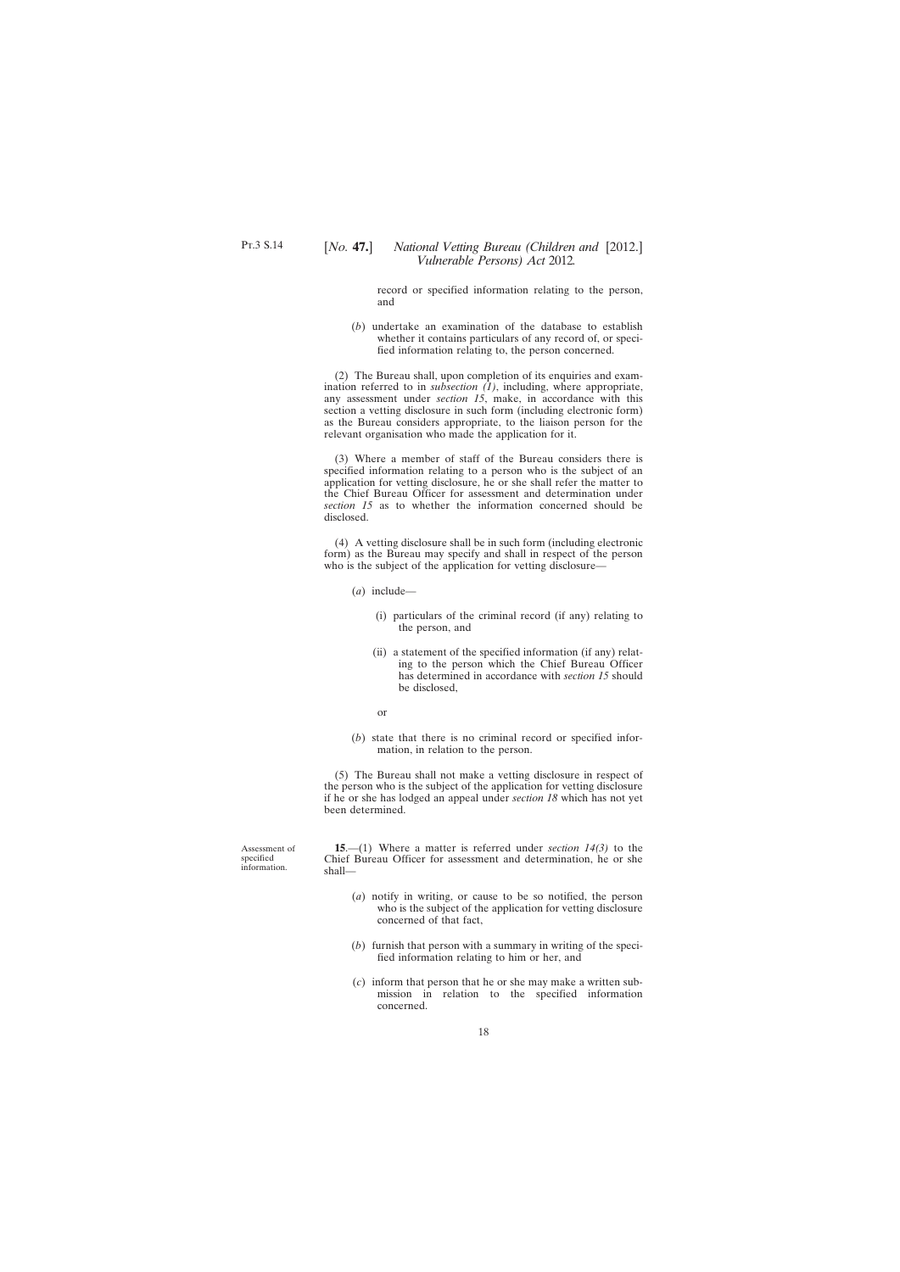<span id="page-17-0"></span>record or specified information relating to the person, and

(*b*) undertake an examination of the database to establish whether it contains particulars of any record of, or specified information relating to, the person concerned.

(2) The Bureau shall, upon completion of its enquiries and examination referred to in *subsection (1)*, including, where appropriate, any assessment under *section 15*, make, in accordance with this section a vetting disclosure in such form (including electronic form) as the Bureau considers appropriate, to the liaison person for the relevant organisation who made the application for it.

(3) Where a member of staff of the Bureau considers there is specified information relating to a person who is the subject of an application for vetting disclosure, he or she shall refer the matter to the Chief Bureau Officer for assessment and determination under *section 15* as to whether the information concerned should be disclosed.

(4) A vetting disclosure shall be in such form (including electronic form) as the Bureau may specify and shall in respect of the person who is the subject of the application for vetting disclosure-

- (*a*) include—
	- (i) particulars of the criminal record (if any) relating to the person, and
	- (ii) a statement of the specified information (if any) relating to the person which the Chief Bureau Officer has determined in accordance with *section 15* should be disclosed,
	- or
- (*b*) state that there is no criminal record or specified information, in relation to the person.

(5) The Bureau shall not make a vetting disclosure in respect of the person who is the subject of the application for vetting disclosure if he or she has lodged an appeal under *section 18* which has not yet been determined.

Assessment of specified information.

**15**.—(1) Where a matter is referred under *section 14(3)* to the Chief Bureau Officer for assessment and determination, he or she shall—

- (*a*) notify in writing, or cause to be so notified, the person who is the subject of the application for vetting disclosure concerned of that fact,
- (*b*) furnish that person with a summary in writing of the specified information relating to him or her, and
- (*c*) inform that person that he or she may make a written submission in relation to the specified information concerned.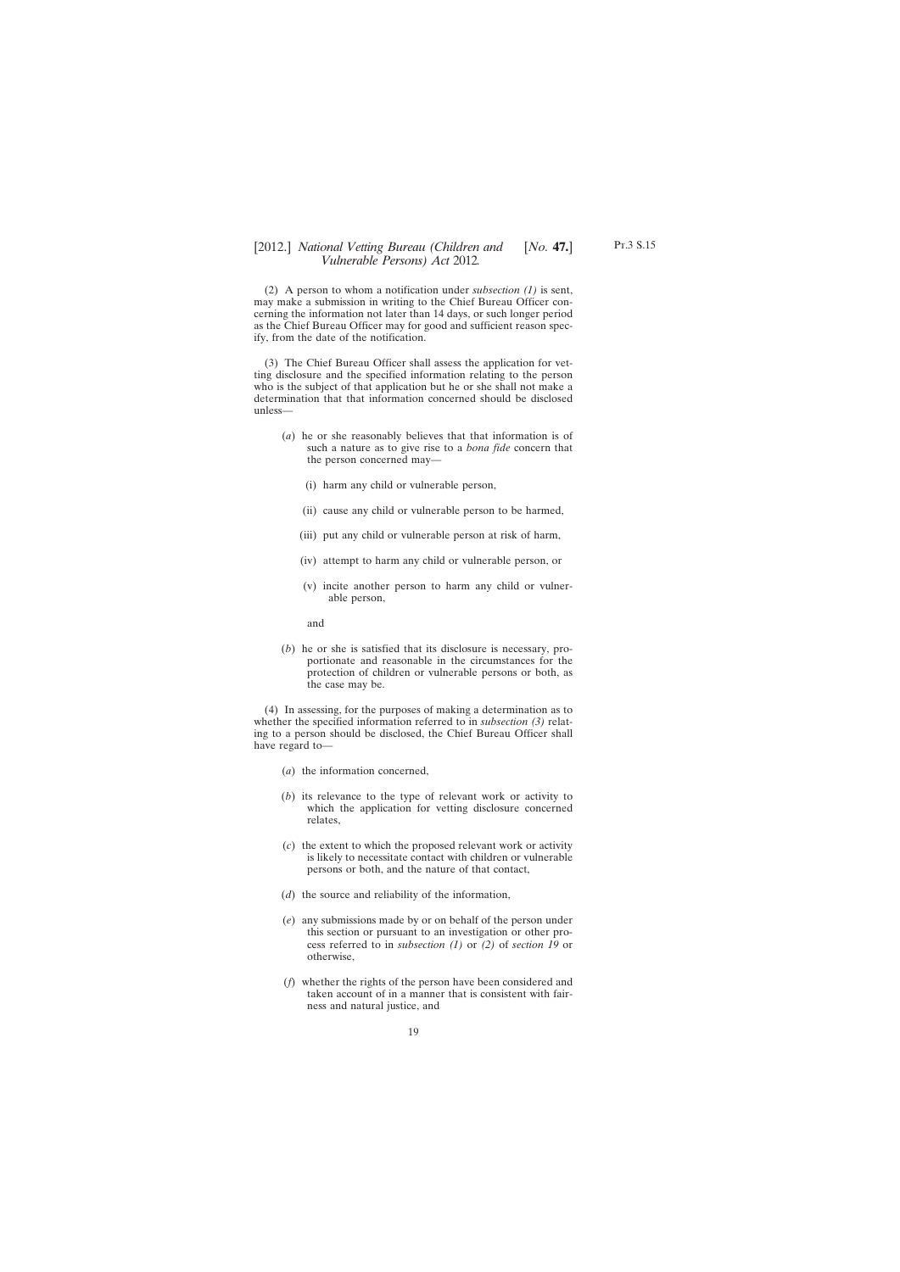(2) A person to whom a notification under *subsection (1)* is sent, may make a submission in writing to the Chief Bureau Officer concerning the information not later than 14 days, or such longer period as the Chief Bureau Officer may for good and sufficient reason specify, from the date of the notification.

(3) The Chief Bureau Officer shall assess the application for vetting disclosure and the specified information relating to the person who is the subject of that application but he or she shall not make a determination that that information concerned should be disclosed unless—

- (*a*) he or she reasonably believes that that information is of such a nature as to give rise to a *bona fide* concern that the person concerned may—
	- (i) harm any child or vulnerable person,
	- (ii) cause any child or vulnerable person to be harmed,
	- (iii) put any child or vulnerable person at risk of harm,
	- (iv) attempt to harm any child or vulnerable person, or
	- (v) incite another person to harm any child or vulnerable person,

and

(*b*) he or she is satisfied that its disclosure is necessary, proportionate and reasonable in the circumstances for the protection of children or vulnerable persons or both, as the case may be.

(4) In assessing, for the purposes of making a determination as to whether the specified information referred to in *subsection (3)* relating to a person should be disclosed, the Chief Bureau Officer shall have regard to—

- (*a*) the information concerned,
- (*b*) its relevance to the type of relevant work or activity to which the application for vetting disclosure concerned relates,
- (*c*) the extent to which the proposed relevant work or activity is likely to necessitate contact with children or vulnerable persons or both, and the nature of that contact,
- (*d*) the source and reliability of the information,
- (*e*) any submissions made by or on behalf of the person under this section or pursuant to an investigation or other process referred to in *subsection (1)* or *(2)* of *section 19* or otherwise,
- (*f*) whether the rights of the person have been considered and taken account of in a manner that is consistent with fairness and natural justice, and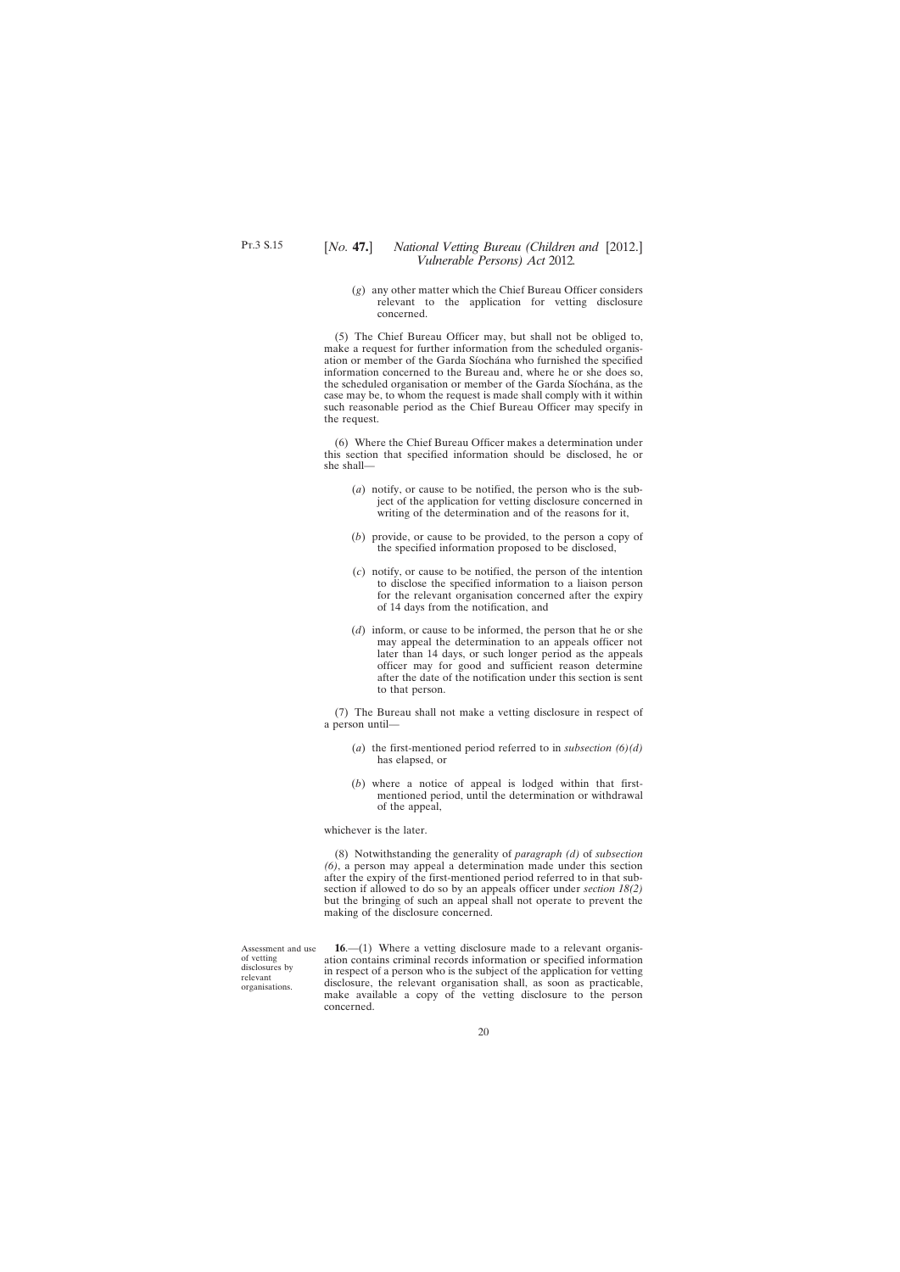<span id="page-19-0"></span>(*g*) any other matter which the Chief Bureau Officer considers relevant to the application for vetting disclosure concerned.

(5) The Chief Bureau Officer may, but shall not be obliged to, make a request for further information from the scheduled organisation or member of the Garda Síochána who furnished the specified information concerned to the Bureau and, where he or she does so, the scheduled organisation or member of the Garda Síochána, as the case may be, to whom the request is made shall comply with it within such reasonable period as the Chief Bureau Officer may specify in the request.

(6) Where the Chief Bureau Officer makes a determination under this section that specified information should be disclosed, he or she shall—

- (*a*) notify, or cause to be notified, the person who is the subject of the application for vetting disclosure concerned in writing of the determination and of the reasons for it,
- (*b*) provide, or cause to be provided, to the person a copy of the specified information proposed to be disclosed,
- (*c*) notify, or cause to be notified, the person of the intention to disclose the specified information to a liaison person for the relevant organisation concerned after the expiry of 14 days from the notification, and
- (*d*) inform, or cause to be informed, the person that he or she may appeal the determination to an appeals officer not later than 14 days, or such longer period as the appeals officer may for good and sufficient reason determine after the date of the notification under this section is sent to that person.

(7) The Bureau shall not make a vetting disclosure in respect of a person until—

- (*a*) the first-mentioned period referred to in *subsection (6)(d)* has elapsed, or
- (*b*) where a notice of appeal is lodged within that firstmentioned period, until the determination or withdrawal of the appeal,

whichever is the later.

(8) Notwithstanding the generality of *paragraph (d)* of *subsection (6)*, a person may appeal a determination made under this section after the expiry of the first-mentioned period referred to in that subsection if allowed to do so by an appeals officer under *section 18(2)* but the bringing of such an appeal shall not operate to prevent the making of the disclosure concerned.

Assessment and use of vetting disclosures by relevant organisations.

**16**.—(1) Where a vetting disclosure made to a relevant organisation contains criminal records information or specified information in respect of a person who is the subject of the application for vetting disclosure, the relevant organisation shall, as soon as practicable, make available a copy of the vetting disclosure to the person concerned.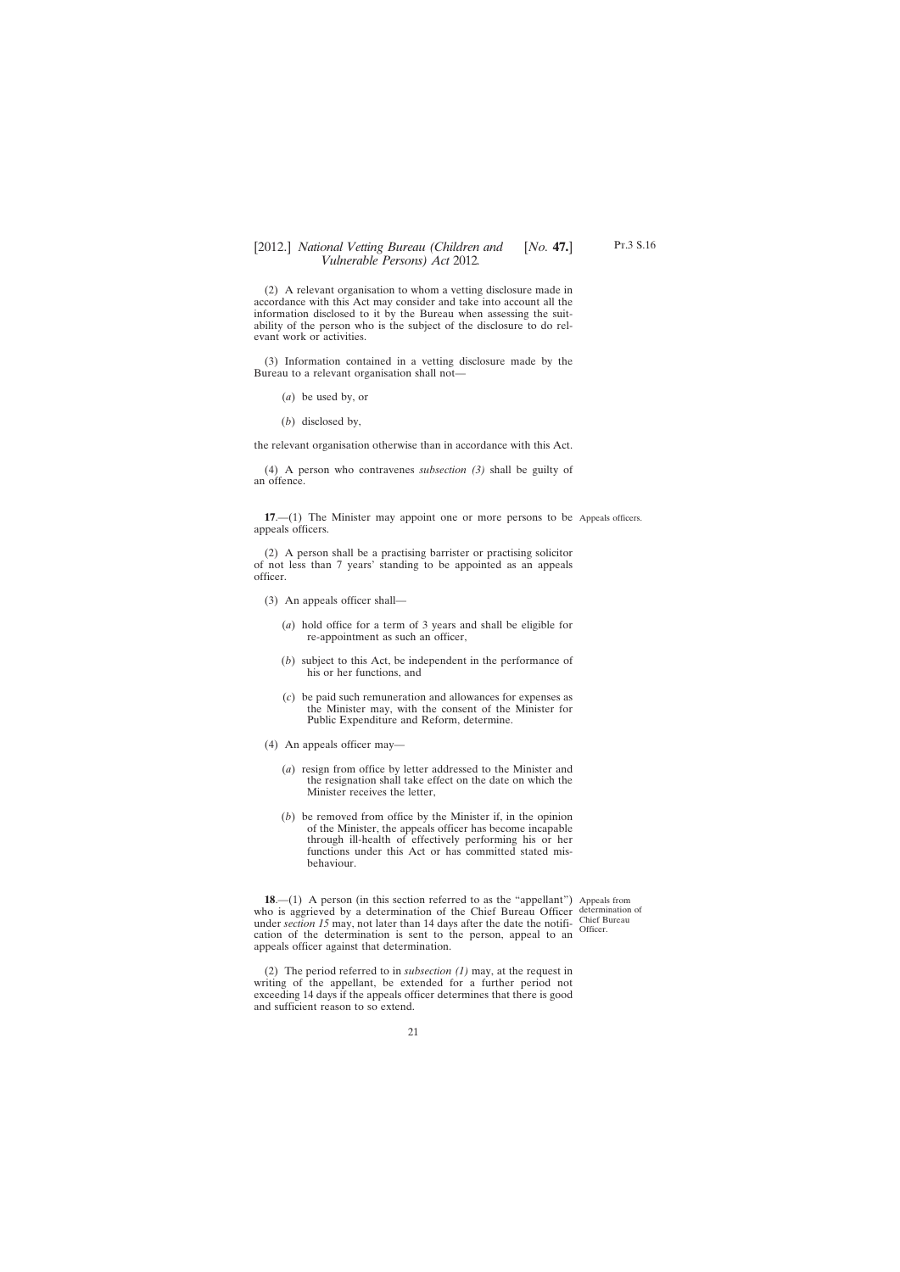<span id="page-20-0"></span>(2) A relevant organisation to whom a vetting disclosure made in accordance with this Act may consider and take into account all the information disclosed to it by the Bureau when assessing the suitability of the person who is the subject of the disclosure to do relevant work or activities.

(3) Information contained in a vetting disclosure made by the Bureau to a relevant organisation shall not—

- (*a*) be used by, or
- (*b*) disclosed by,

the relevant organisation otherwise than in accordance with this Act.

(4) A person who contravenes *subsection (3)* shall be guilty of an offence.

**17**.—(1) The Minister may appoint one or more persons to be Appeals officers. appeals officers.

(2) A person shall be a practising barrister or practising solicitor of not less than 7 years' standing to be appointed as an appeals officer.

- (3) An appeals officer shall—
	- (*a*) hold office for a term of 3 years and shall be eligible for re-appointment as such an officer,
	- (*b*) subject to this Act, be independent in the performance of his or her functions, and
	- (*c*) be paid such remuneration and allowances for expenses as the Minister may, with the consent of the Minister for Public Expenditure and Reform, determine.
- (4) An appeals officer may—
	- (*a*) resign from office by letter addressed to the Minister and the resignation shall take effect on the date on which the Minister receives the letter,
	- (*b*) be removed from office by the Minister if, in the opinion of the Minister, the appeals officer has become incapable through ill-health of effectively performing his or her functions under this Act or has committed stated misbehaviour.

**18.**—(1) A person (in this section referred to as the "appellant") Appeals from who is aggrieved by a determination of the Chief Bureau Officer determination of under *section 15* may, not later than 14 days after the date the notification of the determination is sent to the person, appeal to an appeals officer against that determination. Officer.

(2) The period referred to in *subsection (1)* may, at the request in writing of the appellant, be extended for a further period not exceeding 14 days if the appeals officer determines that there is good and sufficient reason to so extend.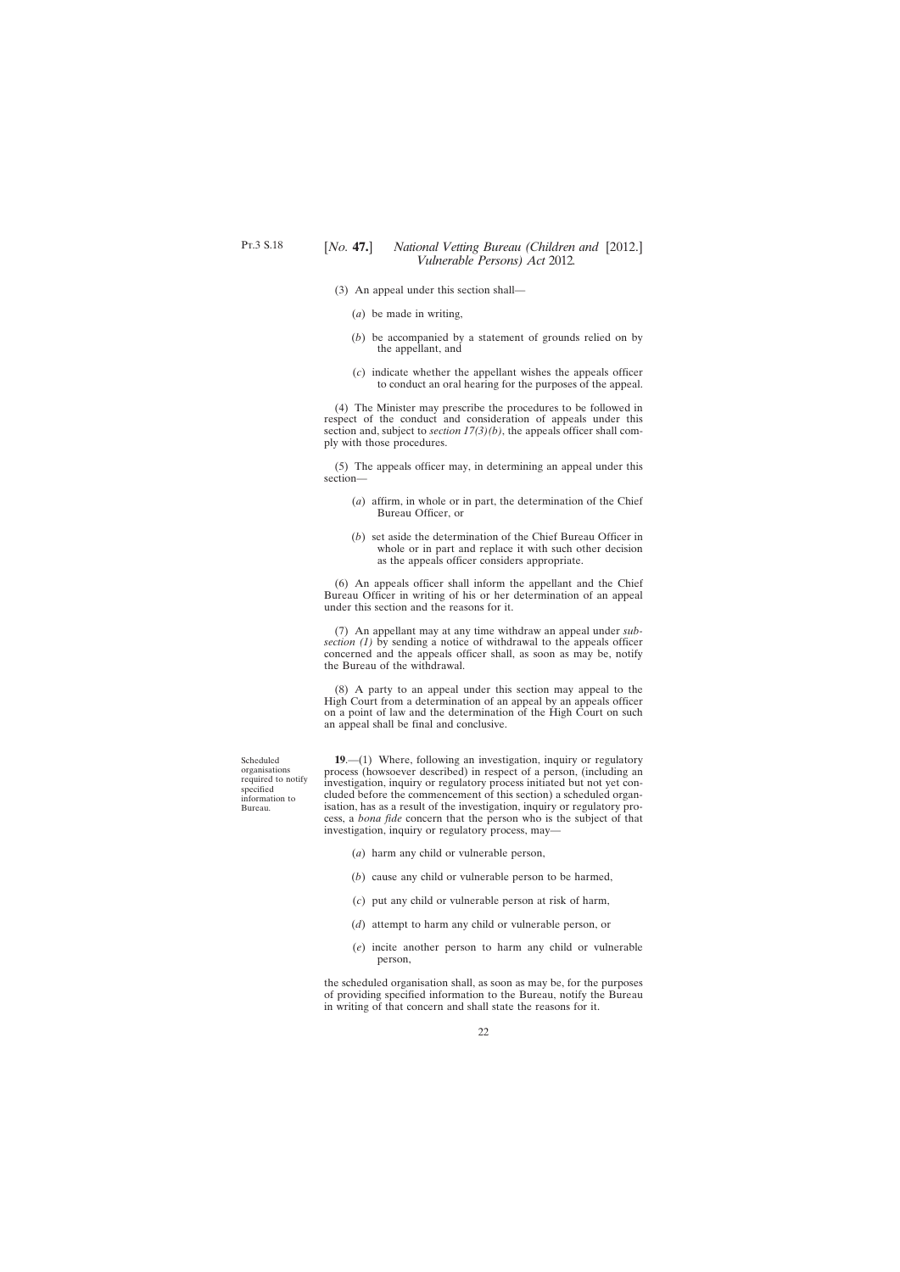- <span id="page-21-0"></span>(3) An appeal under this section shall—
	- (*a*) be made in writing,
	- (*b*) be accompanied by a statement of grounds relied on by the appellant, and
	- (*c*) indicate whether the appellant wishes the appeals officer to conduct an oral hearing for the purposes of the appeal.

(4) The Minister may prescribe the procedures to be followed in respect of the conduct and consideration of appeals under this section and, subject to *section 17(3)(b)*, the appeals officer shall comply with those procedures.

(5) The appeals officer may, in determining an appeal under this section—

- (*a*) affirm, in whole or in part, the determination of the Chief Bureau Officer, or
- (*b*) set aside the determination of the Chief Bureau Officer in whole or in part and replace it with such other decision as the appeals officer considers appropriate.

(6) An appeals officer shall inform the appellant and the Chief Bureau Officer in writing of his or her determination of an appeal under this section and the reasons for it.

(7) An appellant may at any time withdraw an appeal under *subsection (1)* by sending a notice of withdrawal to the appeals officer concerned and the appeals officer shall, as soon as may be, notify the Bureau of the withdrawal.

(8) A party to an appeal under this section may appeal to the High Court from a determination of an appeal by an appeals officer on a point of law and the determination of the High Court on such an appeal shall be final and conclusive.

Scheduled organisations required to notify specified information to Bureau.

**19**.—(1) Where, following an investigation, inquiry or regulatory process (howsoever described) in respect of a person, (including an investigation, inquiry or regulatory process initiated but not yet concluded before the commencement of this section) a scheduled organisation, has as a result of the investigation, inquiry or regulatory process, a *bona fide* concern that the person who is the subject of that investigation, inquiry or regulatory process, may—

- (*a*) harm any child or vulnerable person,
- (*b*) cause any child or vulnerable person to be harmed,
- (*c*) put any child or vulnerable person at risk of harm,
- (*d*) attempt to harm any child or vulnerable person, or
- (*e*) incite another person to harm any child or vulnerable person,

the scheduled organisation shall, as soon as may be, for the purposes of providing specified information to the Bureau, notify the Bureau in writing of that concern and shall state the reasons for it.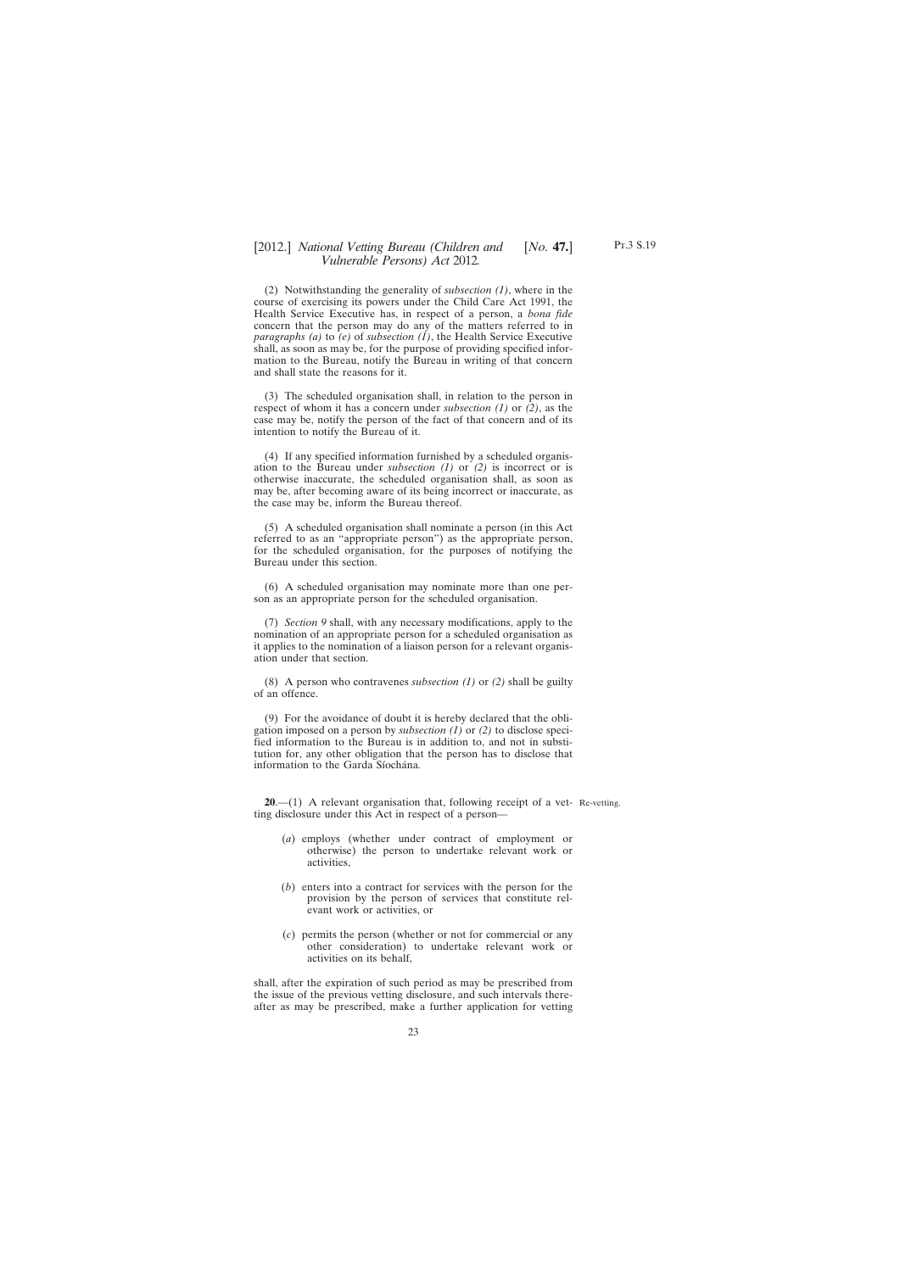<span id="page-22-0"></span>(2) Notwithstanding the generality of *subsection (1)*, where in the course of exercising its powers under the Child Care Act 1991, the Health Service Executive has, in respect of a person, a *bona fide* concern that the person may do any of the matters referred to in *paragraphs (a)* to *(e)* of *subsection (1)*, the Health Service Executive shall, as soon as may be, for the purpose of providing specified information to the Bureau, notify the Bureau in writing of that concern and shall state the reasons for it.

(3) The scheduled organisation shall, in relation to the person in respect of whom it has a concern under *subsection (1)* or *(2)*, as the case may be, notify the person of the fact of that concern and of its intention to notify the Bureau of it.

(4) If any specified information furnished by a scheduled organisation to the Bureau under *subsection (1)* or *(2)* is incorrect or is otherwise inaccurate, the scheduled organisation shall, as soon as may be, after becoming aware of its being incorrect or inaccurate, as the case may be, inform the Bureau thereof.

(5) A scheduled organisation shall nominate a person (in this Act referred to as an "appropriate person") as the appropriate person, for the scheduled organisation, for the purposes of notifying the Bureau under this section.

(6) A scheduled organisation may nominate more than one person as an appropriate person for the scheduled organisation.

(7) *Section 9* shall, with any necessary modifications, apply to the nomination of an appropriate person for a scheduled organisation as it applies to the nomination of a liaison person for a relevant organisation under that section.

(8) A person who contravenes *subsection (1)* or *(2)* shall be guilty of an offence.

(9) For the avoidance of doubt it is hereby declared that the obligation imposed on a person by *subsection (1)* or *(2)* to disclose specified information to the Bureau is in addition to, and not in substitution for, any other obligation that the person has to disclose that information to the Garda Síochána*.*

**20**.—(1) A relevant organisation that, following receipt of a vet-Re-vetting.ting disclosure under this Act in respect of a person—

- (*a*) employs (whether under contract of employment or otherwise) the person to undertake relevant work or activities,
- (*b*) enters into a contract for services with the person for the provision by the person of services that constitute relevant work or activities, or
- (*c*) permits the person (whether or not for commercial or any other consideration) to undertake relevant work or activities on its behalf,

shall, after the expiration of such period as may be prescribed from the issue of the previous vetting disclosure, and such intervals thereafter as may be prescribed, make a further application for vetting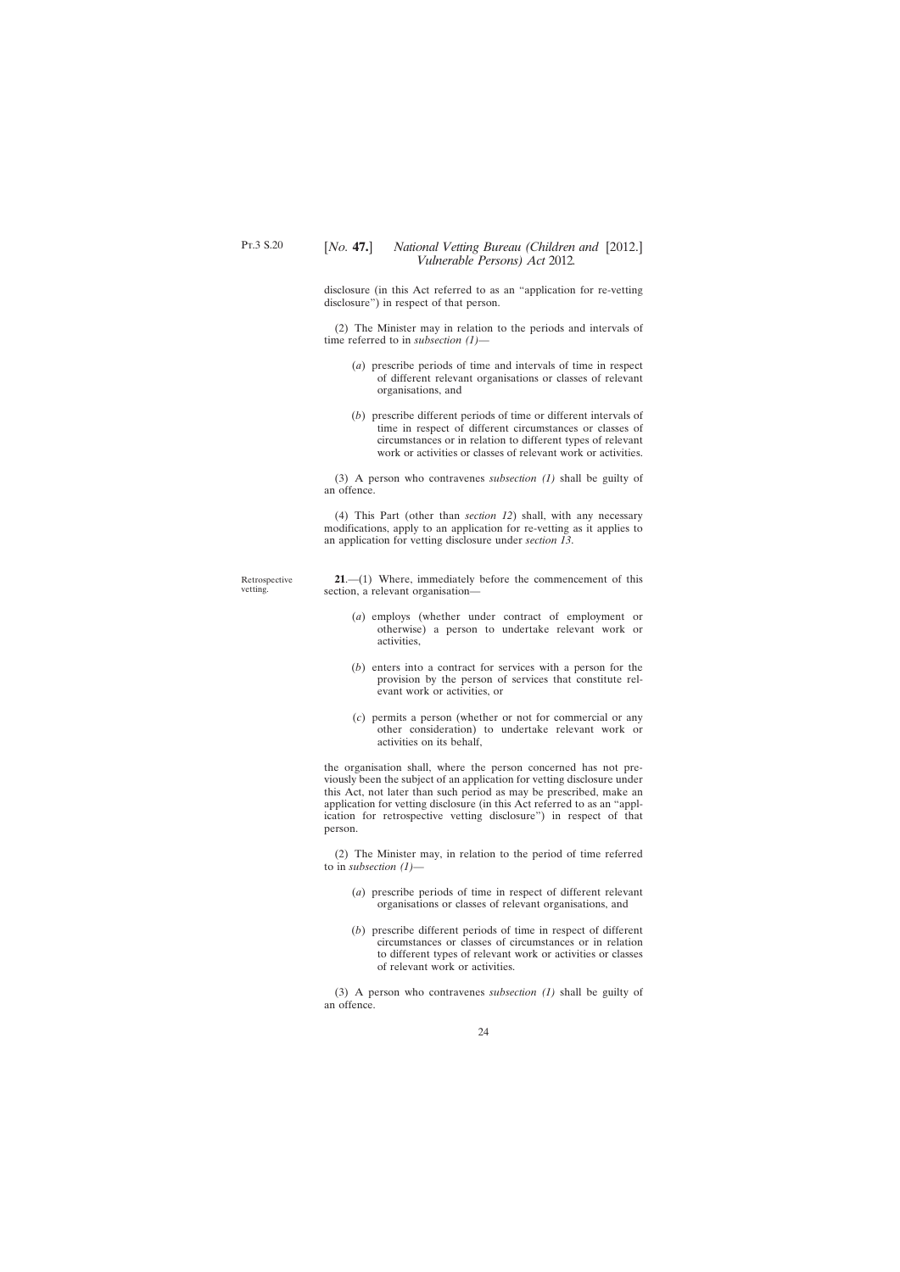<span id="page-23-0"></span>disclosure (in this Act referred to as an "application for re-vetting disclosure") in respect of that person.

(2) The Minister may in relation to the periods and intervals of time referred to in *subsection (1)*—

- (*a*) prescribe periods of time and intervals of time in respect of different relevant organisations or classes of relevant organisations, and
- (*b*) prescribe different periods of time or different intervals of time in respect of different circumstances or classes of circumstances or in relation to different types of relevant work or activities or classes of relevant work or activities.

(3) A person who contravenes *subsection (1)* shall be guilty of an offence.

(4) This Part (other than *section 12*) shall, with any necessary modifications, apply to an application for re-vetting as it applies to an application for vetting disclosure under *section 13*.

Retrospective vetting.

**21**.—(1) Where, immediately before the commencement of this section, a relevant organisation—

- (*a*) employs (whether under contract of employment or otherwise) a person to undertake relevant work or activities,
- (*b*) enters into a contract for services with a person for the provision by the person of services that constitute relevant work or activities, or
- (*c*) permits a person (whether or not for commercial or any other consideration) to undertake relevant work or activities on its behalf,

the organisation shall, where the person concerned has not previously been the subject of an application for vetting disclosure under this Act, not later than such period as may be prescribed, make an application for vetting disclosure (in this Act referred to as an "application for retrospective vetting disclosure") in respect of that person.

(2) The Minister may, in relation to the period of time referred to in *subsection (1)*—

- (*a*) prescribe periods of time in respect of different relevant organisations or classes of relevant organisations, and
- (*b*) prescribe different periods of time in respect of different circumstances or classes of circumstances or in relation to different types of relevant work or activities or classes of relevant work or activities.

(3) A person who contravenes *subsection (1)* shall be guilty of an offence.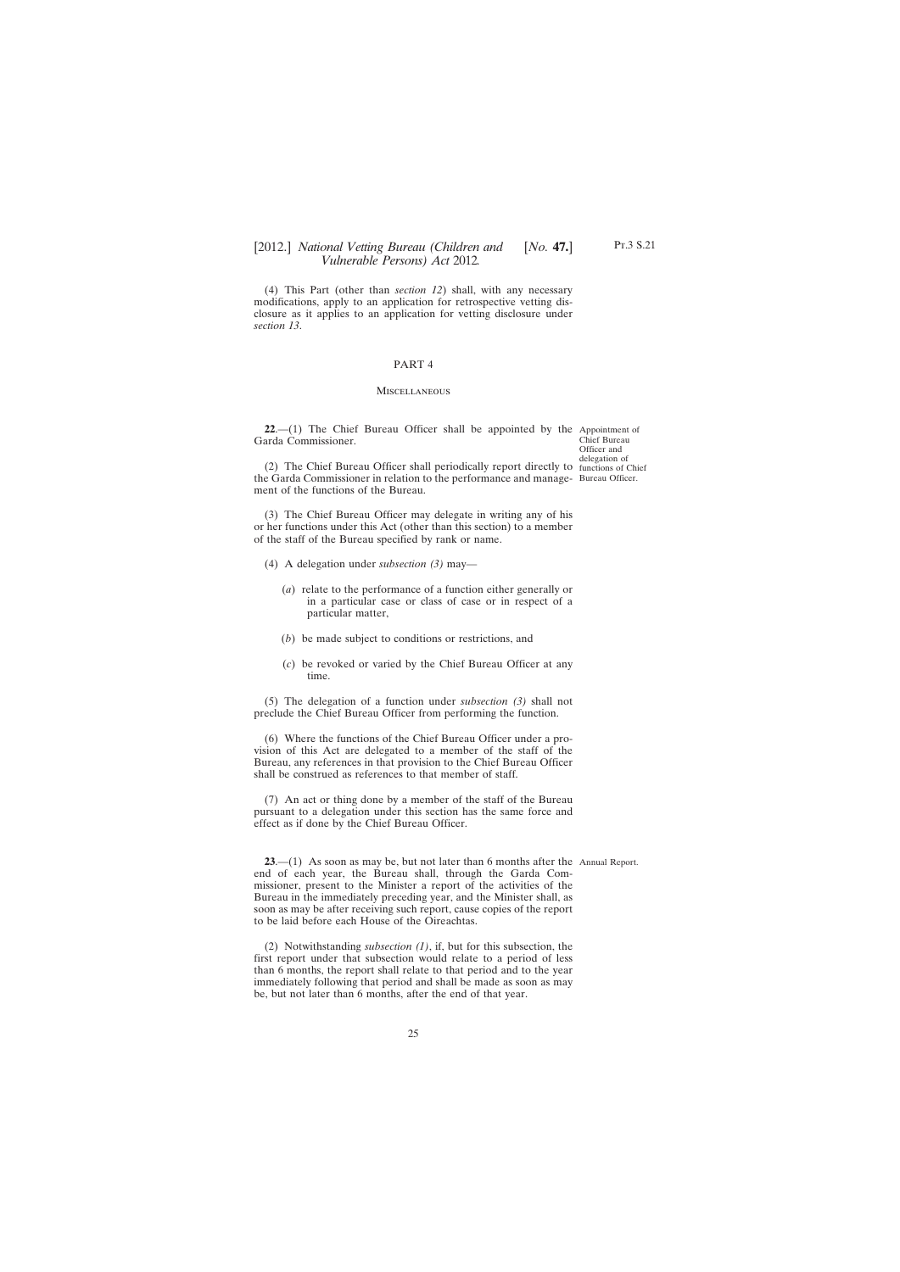<span id="page-24-0"></span>(4) This Part (other than *section 12*) shall, with any necessary modifications, apply to an application for retrospective vetting disclosure as it applies to an application for vetting disclosure under *section 13*.

### PART 4

#### MISCELLANEOUS

**22.**—(1) The Chief Bureau Officer shall be appointed by the Appointment of Garda Commissioner.

Chief Bureau Officer and delegation of

(2) The Chief Bureau Officer shall periodically report directly to functions of Chief the Garda Commissioner in relation to the performance and manage-Bureau Officer. ment of the functions of the Bureau.

(3) The Chief Bureau Officer may delegate in writing any of his or her functions under this Act (other than this section) to a member of the staff of the Bureau specified by rank or name.

- (4) A delegation under *subsection (3)* may—
	- (*a*) relate to the performance of a function either generally or in a particular case or class of case or in respect of a particular matter,
	- (*b*) be made subject to conditions or restrictions, and
	- (*c*) be revoked or varied by the Chief Bureau Officer at any time.

(5) The delegation of a function under *subsection (3)* shall not preclude the Chief Bureau Officer from performing the function.

(6) Where the functions of the Chief Bureau Officer under a provision of this Act are delegated to a member of the staff of the Bureau, any references in that provision to the Chief Bureau Officer shall be construed as references to that member of staff.

(7) An act or thing done by a member of the staff of the Bureau pursuant to a delegation under this section has the same force and effect as if done by the Chief Bureau Officer.

**23**.—(1) As soon as may be, but not later than 6 months after the Annual Report.end of each year, the Bureau shall, through the Garda Commissioner, present to the Minister a report of the activities of the Bureau in the immediately preceding year, and the Minister shall, as soon as may be after receiving such report, cause copies of the report to be laid before each House of the Oireachtas.

(2) Notwithstanding *subsection (1)*, if, but for this subsection, the first report under that subsection would relate to a period of less than 6 months, the report shall relate to that period and to the year immediately following that period and shall be made as soon as may be, but not later than 6 months, after the end of that year.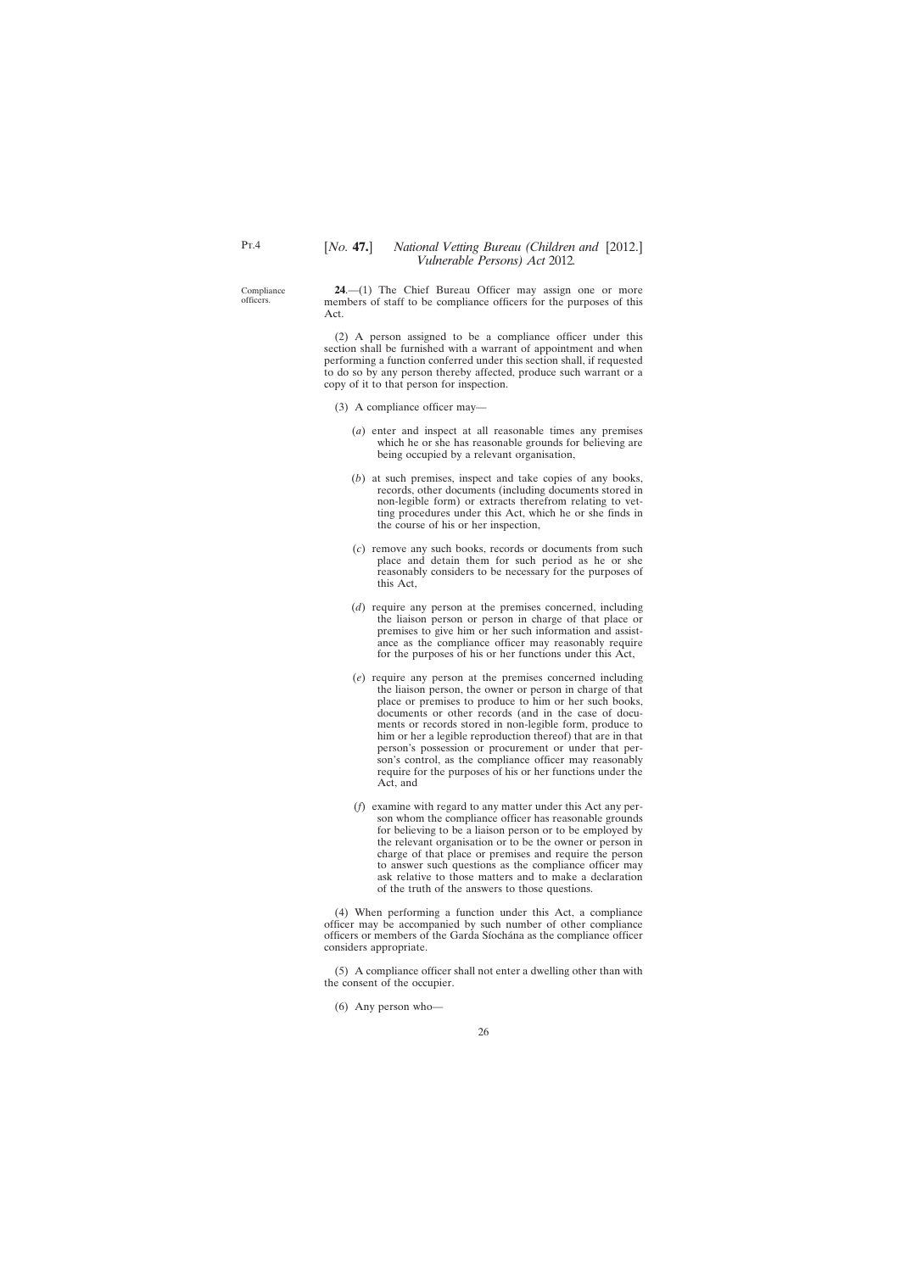<span id="page-25-0"></span>Compliance officers.

**24**.—(1) The Chief Bureau Officer may assign one or more members of staff to be compliance officers for the purposes of this Act.

(2) A person assigned to be a compliance officer under this section shall be furnished with a warrant of appointment and when performing a function conferred under this section shall, if requested to do so by any person thereby affected, produce such warrant or a copy of it to that person for inspection.

- (3) A compliance officer may—
	- (*a*) enter and inspect at all reasonable times any premises which he or she has reasonable grounds for believing are being occupied by a relevant organisation,
	- (*b*) at such premises, inspect and take copies of any books, records, other documents (including documents stored in non-legible form) or extracts therefrom relating to vetting procedures under this Act, which he or she finds in the course of his or her inspection,
	- (*c*) remove any such books, records or documents from such place and detain them for such period as he or she reasonably considers to be necessary for the purposes of this Act,
	- (*d*) require any person at the premises concerned, including the liaison person or person in charge of that place or premises to give him or her such information and assistance as the compliance officer may reasonably require for the purposes of his or her functions under this Act,
	- (*e*) require any person at the premises concerned including the liaison person, the owner or person in charge of that place or premises to produce to him or her such books, documents or other records (and in the case of documents or records stored in non-legible form, produce to him or her a legible reproduction thereof) that are in that person's possession or procurement or under that person's control, as the compliance officer may reasonably require for the purposes of his or her functions under the Act, and
	- (*f*) examine with regard to any matter under this Act any person whom the compliance officer has reasonable grounds for believing to be a liaison person or to be employed by the relevant organisation or to be the owner or person in charge of that place or premises and require the person to answer such questions as the compliance officer may ask relative to those matters and to make a declaration of the truth of the answers to those questions.

(4) When performing a function under this Act, a compliance officer may be accompanied by such number of other compliance officers or members of the Garda Síochána as the compliance officer considers appropriate.

(5) A compliance officer shall not enter a dwelling other than with the consent of the occupier.

(6) Any person who—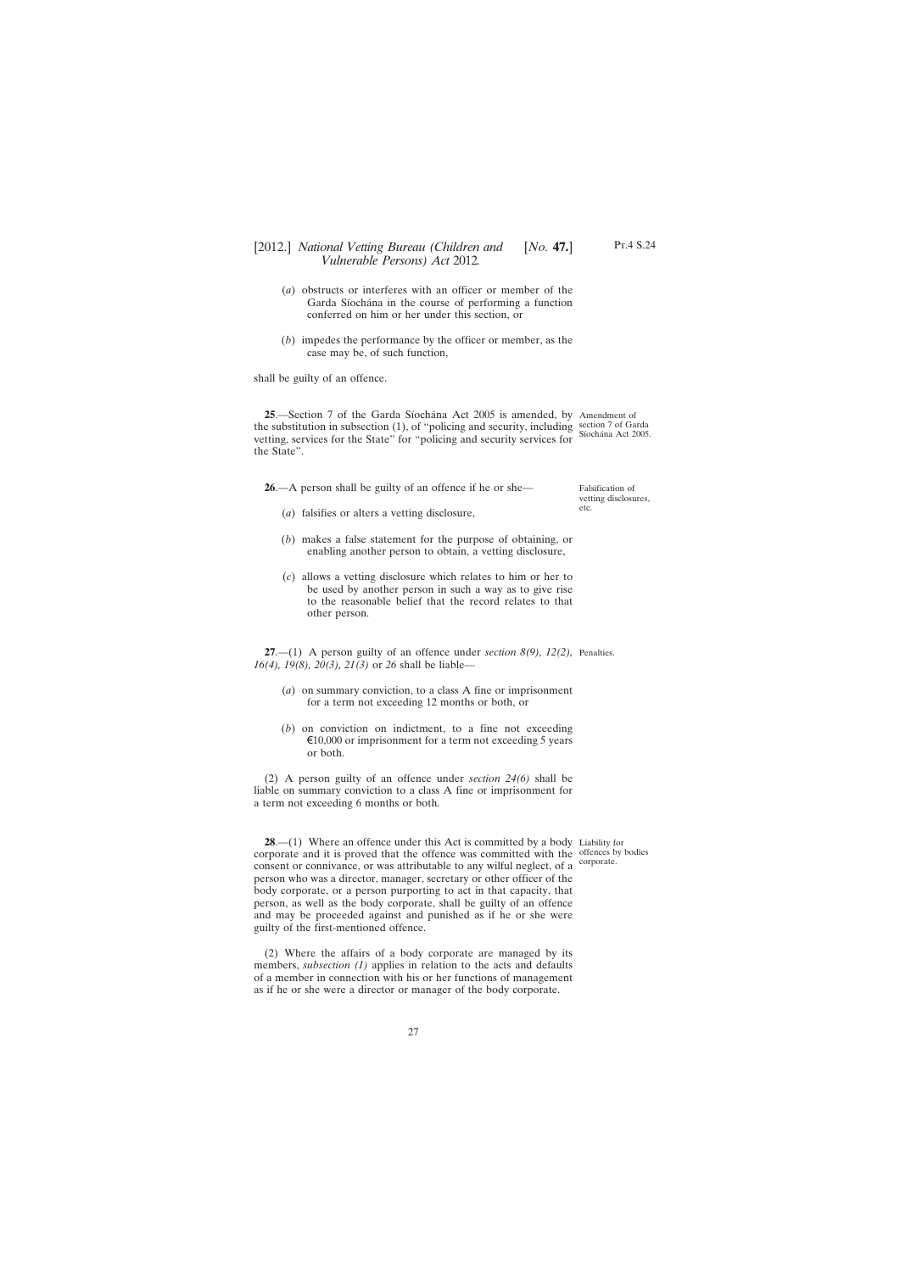- <span id="page-26-0"></span>(*a*) obstructs or interferes with an officer or member of the Garda Síochána in the course of performing a function conferred on him or her under this section, or
- (*b*) impedes the performance by the officer or member, as the case may be, of such function,

shall be guilty of an offence.

**25**.—Section 7 of the Garda Síochána Act 2005 is amended, by Amendment of the substitution in subsection (1), of "policing and security, including section 7 of Garda vetting, services for the State" for "policing and security services for the State". Síochána Act 2005.

**26**.—A person shall be guilty of an offence if he or she—

Falsification of vetting disclosures, etc.

- (*a*) falsifies or alters a vetting disclosure,
- (*b*) makes a false statement for the purpose of obtaining, or enabling another person to obtain, a vetting disclosure,
- (*c*) allows a vetting disclosure which relates to him or her to be used by another person in such a way as to give rise to the reasonable belief that the record relates to that other person.

**27**.—(1) A person guilty of an offence under *section 8(9), 12(2),* Penalties. *16(4), 19(8), 20(3), 21(3)* or *26* shall be liable—

- (*a*) on summary conviction, to a class A fine or imprisonment for a term not exceeding 12 months or both, or
- (*b*) on conviction on indictment, to a fine not exceeding  $\epsilon$ 10,000 or imprisonment for a term not exceeding 5 years or both.

(2) A person guilty of an offence under *section 24(6)* shall be liable on summary conviction to a class A fine or imprisonment for a term not exceeding 6 months or both.

**28.**—(1) Where an offence under this Act is committed by a body Liability for corporate and it is proved that the offence was committed with the offences by bodies consent or connivance, or was attributable to any wilful neglect, of a <sup>corporate.</sup> person who was a director, manager, secretary or other officer of the body corporate, or a person purporting to act in that capacity, that person, as well as the body corporate, shall be guilty of an offence and may be proceeded against and punished as if he or she were guilty of the first-mentioned offence.

(2) Where the affairs of a body corporate are managed by its members, *subsection* (1) applies in relation to the acts and defaults of a member in connection with his or her functions of management as if he or she were a director or manager of the body corporate.

Pt.4 S.24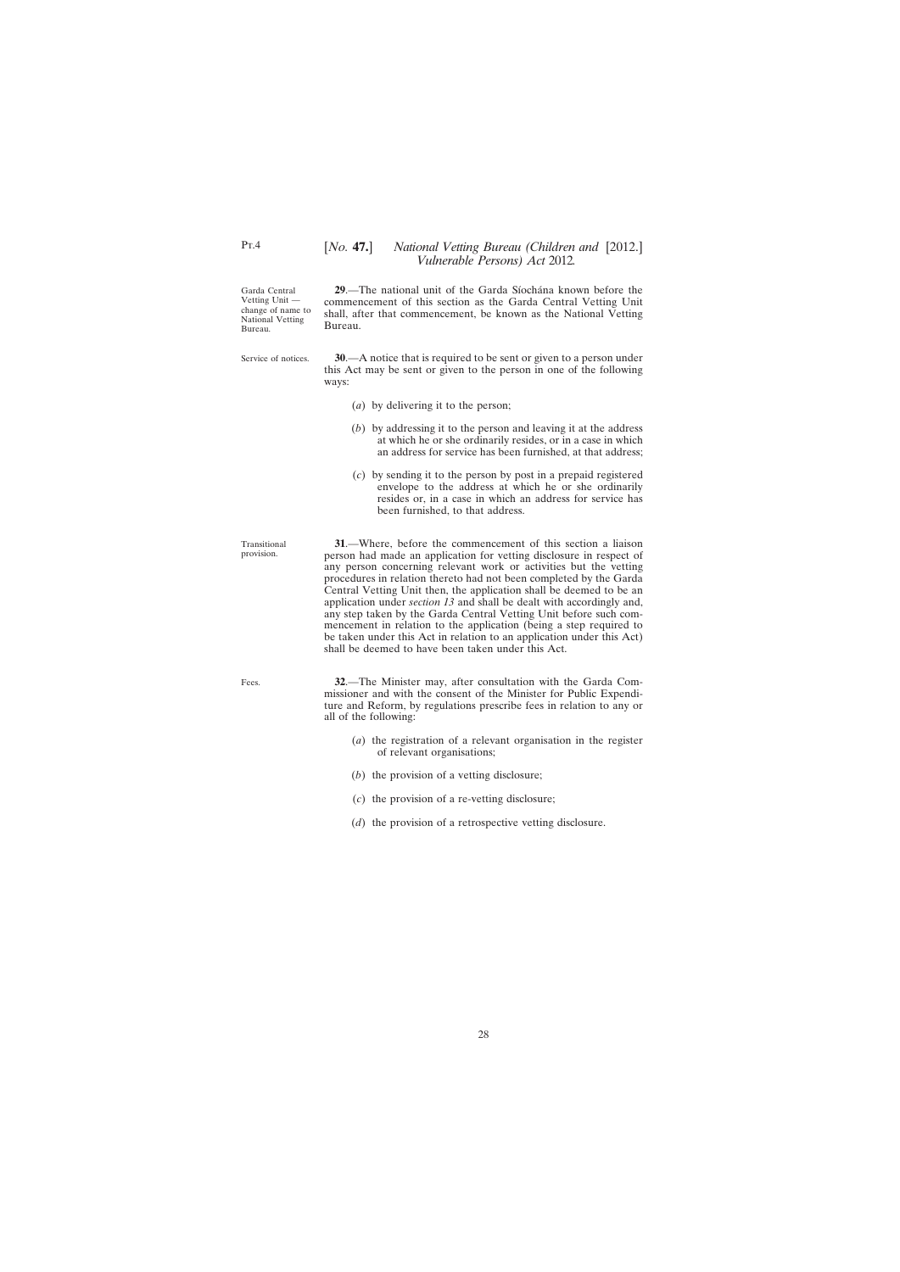Garda Central Vetting Unit change of name to National Vetting Bureau.

Service of notices.

commencement of this section as the Garda Central Vetting Unit shall, after that commencement, be known as the National Vetting Bureau.

**29**.—The national unit of the Garda Síochána known before the

**30**.—A notice that is required to be sent or given to a person under this Act may be sent or given to the person in one of the following ways:

- (*a*) by delivering it to the person;
- (*b*) by addressing it to the person and leaving it at the address at which he or she ordinarily resides, or in a case in which an address for service has been furnished, at that address;
- (*c*) by sending it to the person by post in a prepaid registered envelope to the address at which he or she ordinarily resides or, in a case in which an address for service has been furnished, to that address.

**31**.—Where, before the commencement of this section a liaison person had made an application for vetting disclosure in respect of any person concerning relevant work or activities but the vetting procedures in relation thereto had not been completed by the Garda Central Vetting Unit then, the application shall be deemed to be an application under *section 13* and shall be dealt with accordingly and, any step taken by the Garda Central Vetting Unit before such commencement in relation to the application (being a step required to be taken under this Act in relation to an application under this Act) shall be deemed to have been taken under this Act.

Fees.

Transitional provision.

> **32**.—The Minister may, after consultation with the Garda Commissioner and with the consent of the Minister for Public Expenditure and Reform, by regulations prescribe fees in relation to any or all of the following:

- (*a*) the registration of a relevant organisation in the register of relevant organisations;
- (*b*) the provision of a vetting disclosure;
- (*c*) the provision of a re-vetting disclosure;
- (*d*) the provision of a retrospective vetting disclosure.

<span id="page-27-0"></span> $Pr.4$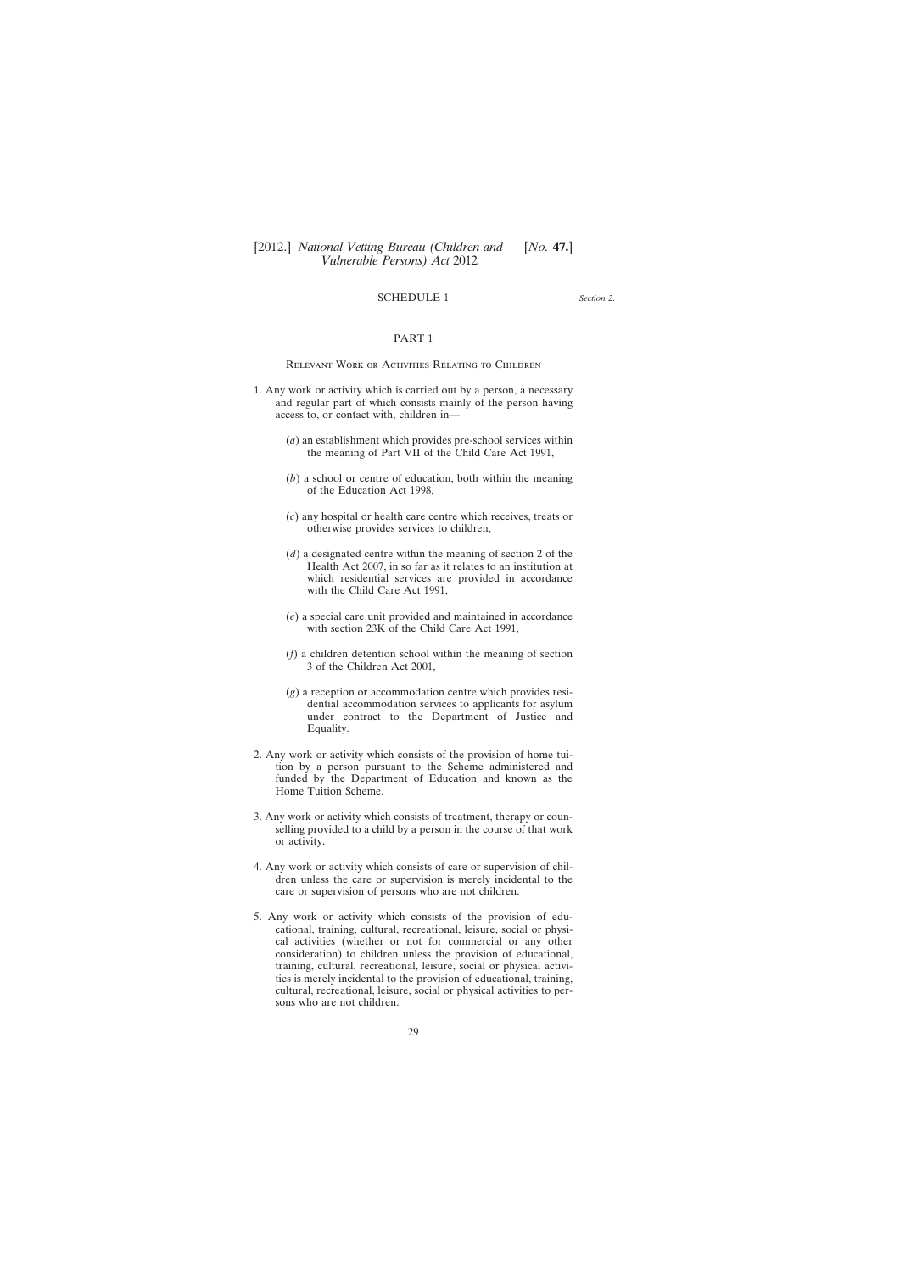# SCHEDULE 1

*Section 2*.

## PART 1

<span id="page-28-0"></span>Relevant Work or Activities Relating to Children

- 1. Any work or activity which is carried out by a person, a necessary and regular part of which consists mainly of the person having access to, or contact with, children in—
	- (*a*) an establishment which provides pre-school services within the meaning of Part VII of the Child Care Act 1991,
	- (*b*) a school or centre of education, both within the meaning of the Education Act 1998,
	- (*c*) any hospital or health care centre which receives, treats or otherwise provides services to children,
	- (*d*) a designated centre within the meaning of section 2 of the Health Act 2007, in so far as it relates to an institution at which residential services are provided in accordance with the Child Care Act 1991,
	- (*e*) a special care unit provided and maintained in accordance with section 23K of the Child Care Act 1991,
	- (*f*) a children detention school within the meaning of section 3 of the Children Act 2001,
	- (*g*) a reception or accommodation centre which provides residential accommodation services to applicants for asylum under contract to the Department of Justice and Equality.
- 2. Any work or activity which consists of the provision of home tuition by a person pursuant to the Scheme administered and funded by the Department of Education and known as the Home Tuition Scheme.
- 3. Any work or activity which consists of treatment, therapy or counselling provided to a child by a person in the course of that work or activity.
- 4. Any work or activity which consists of care or supervision of children unless the care or supervision is merely incidental to the care or supervision of persons who are not children.
- 5. Any work or activity which consists of the provision of educational, training, cultural, recreational, leisure, social or physical activities (whether or not for commercial or any other consideration) to children unless the provision of educational, training, cultural, recreational, leisure, social or physical activities is merely incidental to the provision of educational, training, cultural, recreational, leisure, social or physical activities to persons who are not children.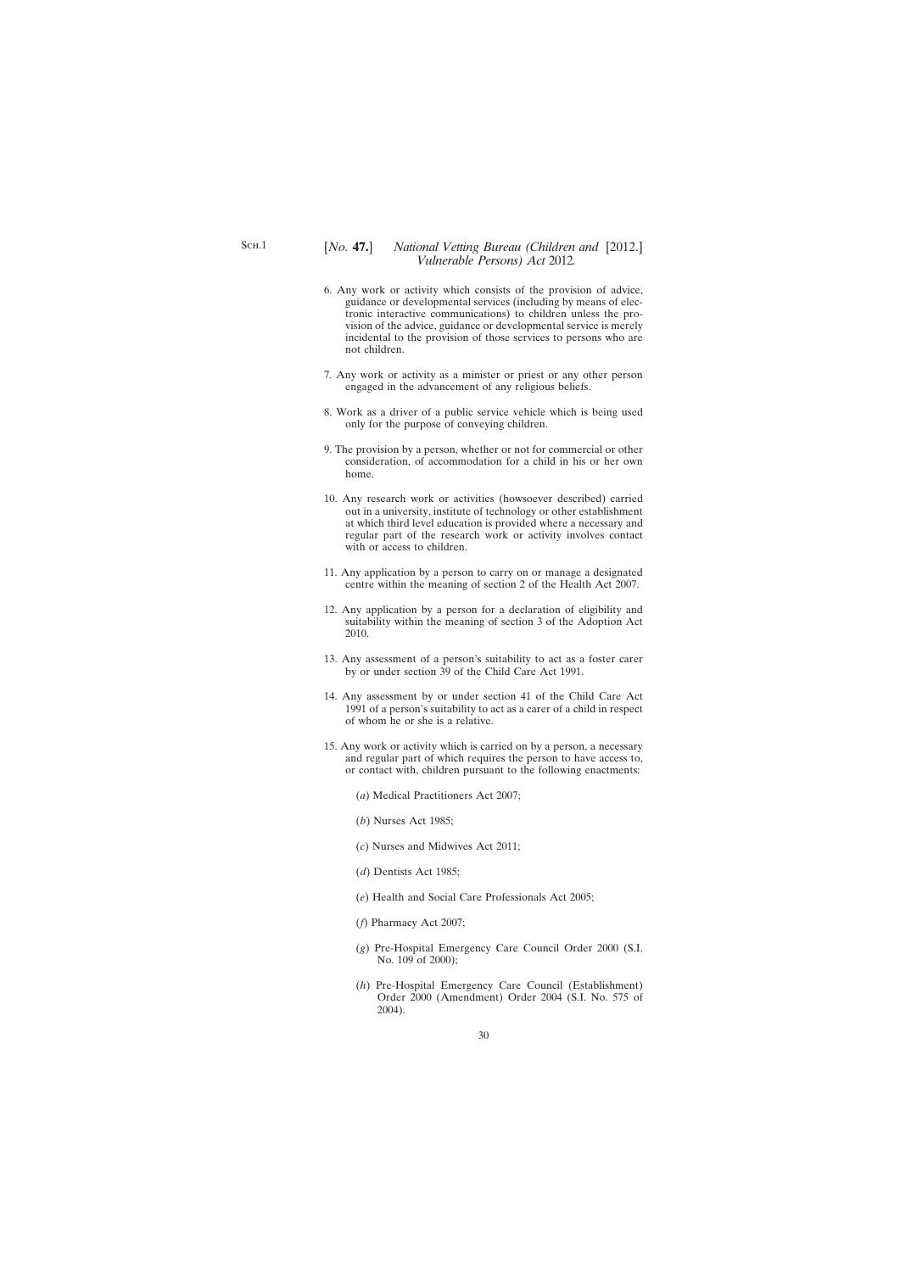- 6. Any work or activity which consists of the provision of advice, guidance or developmental services (including by means of electronic interactive communications) to children unless the provision of the advice, guidance or developmental service is merely incidental to the provision of those services to persons who are not children.
- 7. Any work or activity as a minister or priest or any other person engaged in the advancement of any religious beliefs.
- 8. Work as a driver of a public service vehicle which is being used only for the purpose of conveying children.
- 9. The provision by a person, whether or not for commercial or other consideration, of accommodation for a child in his or her own home.
- 10. Any research work or activities (howsoever described) carried out in a university, institute of technology or other establishment at which third level education is provided where a necessary and regular part of the research work or activity involves contact with or access to children.
- 11. Any application by a person to carry on or manage a designated centre within the meaning of section 2 of the Health Act 2007.
- 12. Any application by a person for a declaration of eligibility and suitability within the meaning of section 3 of the Adoption Act 2010.
- 13. Any assessment of a person's suitability to act as a foster carer by or under section 39 of the Child Care Act 1991.
- 14. Any assessment by or under section 41 of the Child Care Act 1991 of a person's suitability to act as a carer of a child in respect of whom he or she is a relative.
- 15. Any work or activity which is carried on by a person, a necessary and regular part of which requires the person to have access to, or contact with, children pursuant to the following enactments:
	- (*a*) Medical Practitioners Act 2007;
	- (*b*) Nurses Act 1985;
	- (*c*) Nurses and Midwives Act 2011;
	- (*d*) Dentists Act 1985;
	- (*e*) Health and Social Care Professionals Act 2005;
	- (*f*) Pharmacy Act 2007;
	- (*g*) Pre-Hospital Emergency Care Council Order 2000 (S.I. No. 109 of 2000);
	- (*h*) Pre-Hospital Emergency Care Council (Establishment) Order 2000 (Amendment) Order 2004 (S.I. No. 575 of 2004).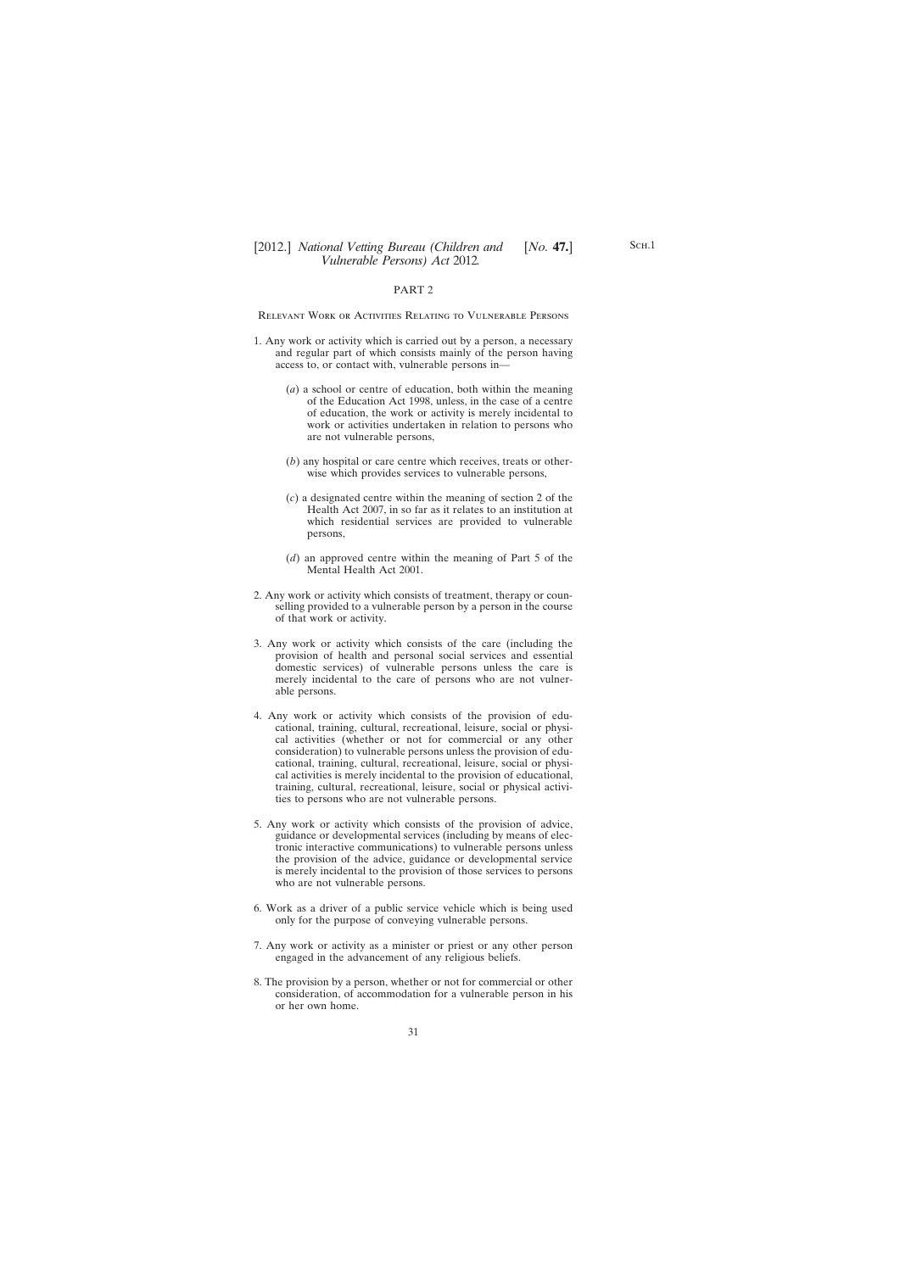### PART 2

Relevant Work or Activities Relating to Vulnerable Persons

- 1. Any work or activity which is carried out by a person, a necessary and regular part of which consists mainly of the person having access to, or contact with, vulnerable persons in—
	- (*a*) a school or centre of education, both within the meaning of the Education Act 1998, unless, in the case of a centre of education, the work or activity is merely incidental to work or activities undertaken in relation to persons who are not vulnerable persons,
	- (*b*) any hospital or care centre which receives, treats or otherwise which provides services to vulnerable persons,
	- (*c*) a designated centre within the meaning of section 2 of the Health Act 2007, in so far as it relates to an institution at which residential services are provided to vulnerable persons,
	- (*d*) an approved centre within the meaning of Part 5 of the Mental Health Act 2001.
- 2. Any work or activity which consists of treatment, therapy or counselling provided to a vulnerable person by a person in the course of that work or activity.
- 3. Any work or activity which consists of the care (including the provision of health and personal social services and essential domestic services) of vulnerable persons unless the care is merely incidental to the care of persons who are not vulnerable persons.
- 4. Any work or activity which consists of the provision of educational, training, cultural, recreational, leisure, social or physical activities (whether or not for commercial or any other consideration) to vulnerable persons unless the provision of educational, training, cultural, recreational, leisure, social or physical activities is merely incidental to the provision of educational, training, cultural, recreational, leisure, social or physical activities to persons who are not vulnerable persons.
- 5. Any work or activity which consists of the provision of advice, guidance or developmental services (including by means of electronic interactive communications) to vulnerable persons unless the provision of the advice, guidance or developmental service is merely incidental to the provision of those services to persons who are not vulnerable persons.
- 6. Work as a driver of a public service vehicle which is being used only for the purpose of conveying vulnerable persons.
- 7. Any work or activity as a minister or priest or any other person engaged in the advancement of any religious beliefs.
- 8. The provision by a person, whether or not for commercial or other consideration, of accommodation for a vulnerable person in his or her own home.

SCH.1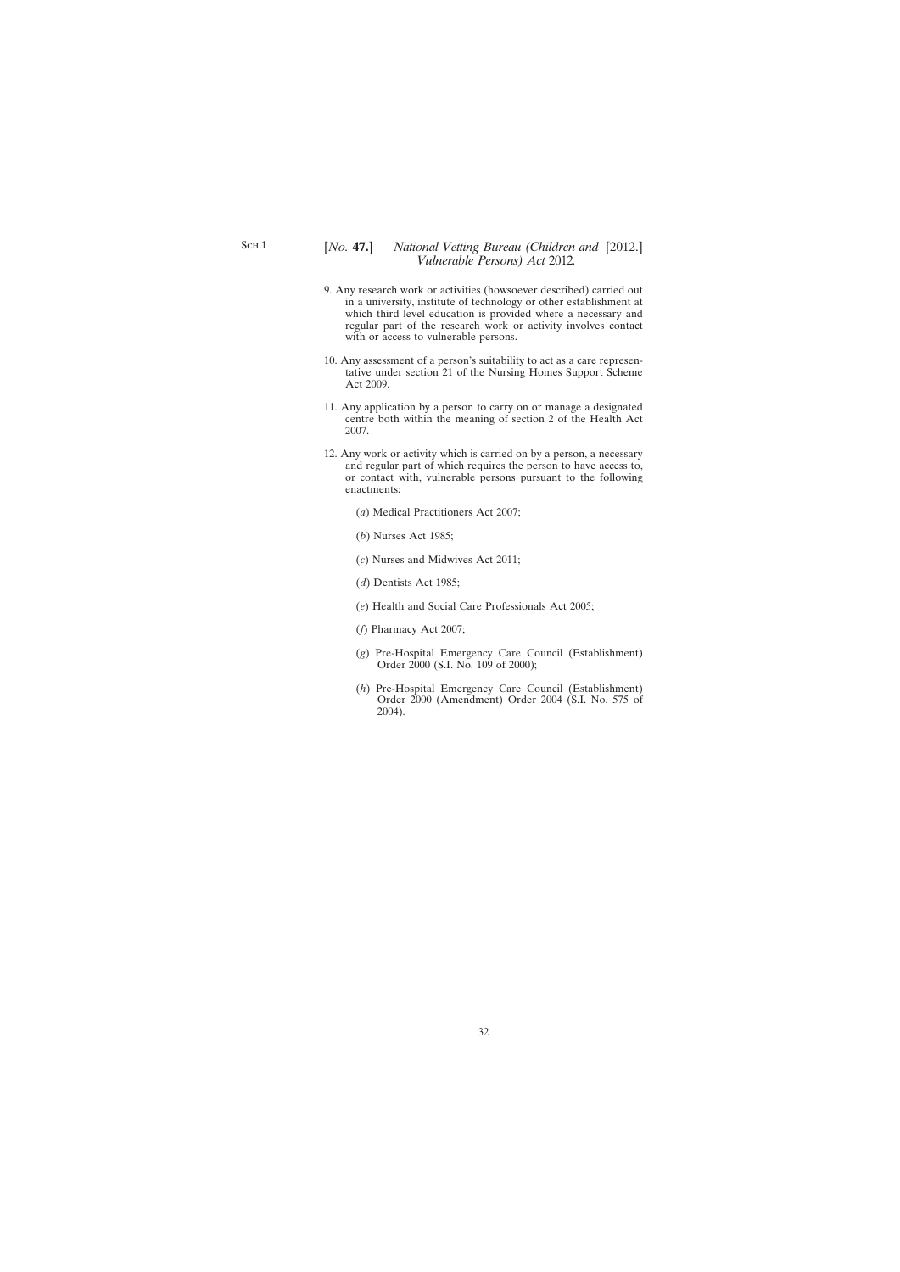- 9. Any research work or activities (howsoever described) carried out in a university, institute of technology or other establishment at which third level education is provided where a necessary and regular part of the research work or activity involves contact with or access to vulnerable persons.
- 10. Any assessment of a person's suitability to act as a care representative under section 21 of the Nursing Homes Support Scheme Act 2009.
- 11. Any application by a person to carry on or manage a designated centre both within the meaning of section 2 of the Health Act 2007.
- 12. Any work or activity which is carried on by a person, a necessary and regular part of which requires the person to have access to, or contact with, vulnerable persons pursuant to the following enactments:
	- (*a*) Medical Practitioners Act 2007;
	- (*b*) Nurses Act 1985;
	- (*c*) Nurses and Midwives Act 2011;
	- (*d*) Dentists Act 1985;
	- (*e*) Health and Social Care Professionals Act 2005;
	- (*f*) Pharmacy Act 2007;
	- (*g*) Pre-Hospital Emergency Care Council (Establishment) Order 2000 (S.I. No. 109 of 2000);
	- (*h*) Pre-Hospital Emergency Care Council (Establishment) Order 2000 (Amendment) Order 2004 (S.I. No. 575 of 2004).

Sch.1